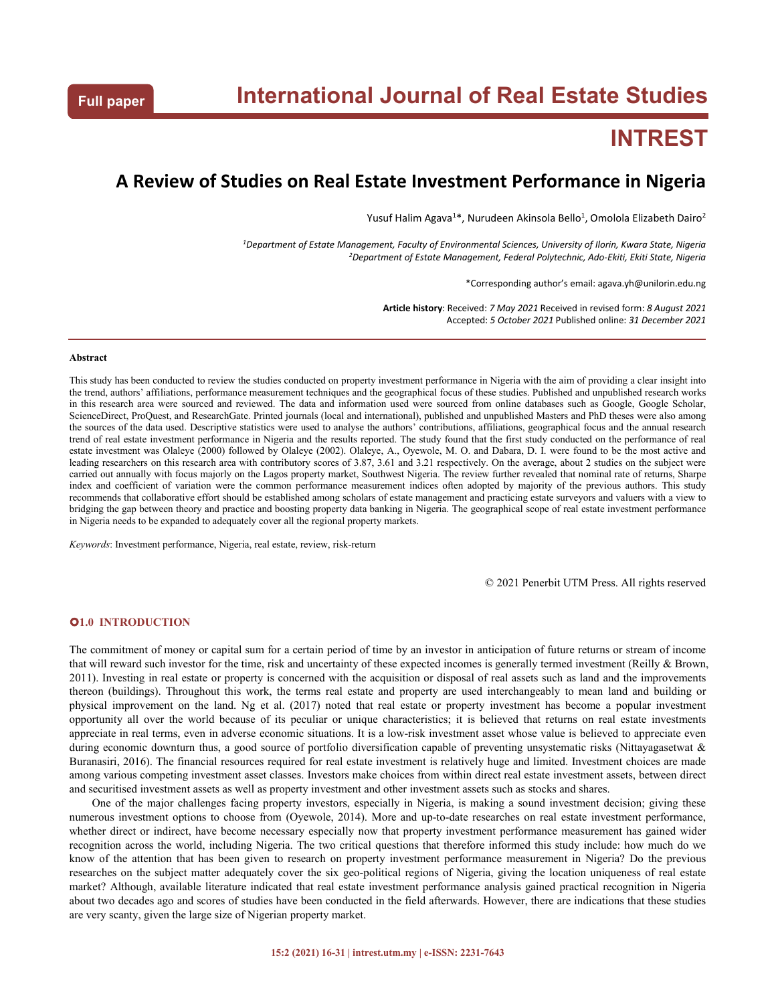# **INTREST**

# **A Review of Studies on Real Estate Investment Performance in Nigeria**

Yusuf Halim Agava<sup>1\*</sup>, Nurudeen Akinsola Bello<sup>1</sup>, Omolola Elizabeth Dairo<sup>2</sup> 2

*<sup>1</sup>Department of Estate Management, Faculty of Environmental Sciences, University of Ilorin, Kwara State, Nigeria <sup>2</sup>Department of Estate Management, Federal Polytechnic, Ado-Ekiti, Ekiti State, Nigeria*

\*Corresponding author's email: agava.yh@unilorin.edu.ng

**Article history**: Received: *7 May 2021* Received in revised form: *8 August 2021* Accepted: *5 October 2021* Published online: *31 December 2021*

#### **Abstract**

This study has been conducted to review the studies conducted on property investment performance in Nigeria with the aim of providinga clear insight into the trend, authors' affiliations, performance measurement techniques and the geographical focus of these studies. Published and unpublished research works in this research area were sourced and reviewed. The data and information used were sourced from online databases such as Google, Google Scholar,<br>ScienceDirect, ProQuest, and ResearchGate. Printed journals (local and inter the sources of the data used. Descriptive statistics were used to analyse the authors' contributions, affiliations, geographical focus and the annual research trend of real estate investment performance in Nigeria and the results reported. The study found that the first study conducted on the performance of real estate investment was Olaleye (2000) followed by Olaleye (2002). Olaleye, A., Oyewole, M. O. and Dabara, D.I. were found to be the most active and leading researchers on this research area with contributory scores of 3.87, 3.61 and 3.21 respectively. On the average, about 2 studies on the subject were carried out annually with focus majorly on the Lagos property market, Southwest Nigeria. The review further revealed that nominal rate of returns, Sharpe index and coefficient of variation were the common performance measurement indices often adopted by majority of the previous authors. This study recommends that collaborative effort should be established among scholars ofestate management and practicing estate surveyors and valuers with a view to bridging the gap between theory and practice and boosting property data banking in Nigeria. The geographical scope of real estate investment performance in Nigeria needs to be expanded to adequately cover all the regional property markets.

*Keywords*: Investment performance, Nigeria, real estate, review, risk-return

© 2021 Penerbit UTM Press. All rights reserved

# **1.0 INTRODUCTION**

The commitment of money or capital sum for a certain period of time by an investor in anticipation of future returns or stream of income that will reward such investor for the time, risk and uncertainty of these expected incomes is generally termed investment (Reilly & Brown, 2011). Investing in real estate or property is concerned with the acquisition or disposal of real assets such as land and the improvements thereon (buildings). Throughout this work, the terms real estate and property are used interchangeably to mean land and building or physical improvement on the land. Ng et al. (2017) noted that real estate or property investment has become a popular investment opportunity all over the world because of its peculiar or unique characteristics; it is believed that returns on real estate investments appreciate in real terms, even in adverse economic situations. It is a low-risk investment asset whose value is believed to appreciate even during economic downturn thus, a good source of portfolio diversification capable of preventing unsystematic risks (Nittayagasetwat & Buranasiri, 2016). The financial resources required for real estate investment is relatively huge and limited. Investment choices are made among various competing investment asset classes. Investors make choices from within direct real estate investment assets, between direct and securitised investment assets as well as property investment and other investment assets such as stocks and shares.

One of the major challenges facing property investors, especially in Nigeria, is making a sound investment decision; giving these numerous investment options to choose from (Oyewole, 2014). More and up-to-date researches on real estate investment performance, whether direct or indirect, have become necessary especially now that property investment performance measurement has gained wider recognition across the world, including Nigeria. The two critical questions that therefore informed this study include: how much do we know of the attention that has been given to research on property investment performance measurement in Nigeria? Do the previous researches on the subject matter adequately cover the six geo-political regions of Nigeria, giving the location uniqueness of real estate market? Although, available literature indicated that real estate investment performance analysis gained practical recognition in Nigeria about two decades ago and scores of studies have been conducted in the field afterwards. However, there are indications that these studies are very scanty, given the large size of Nigerian property market.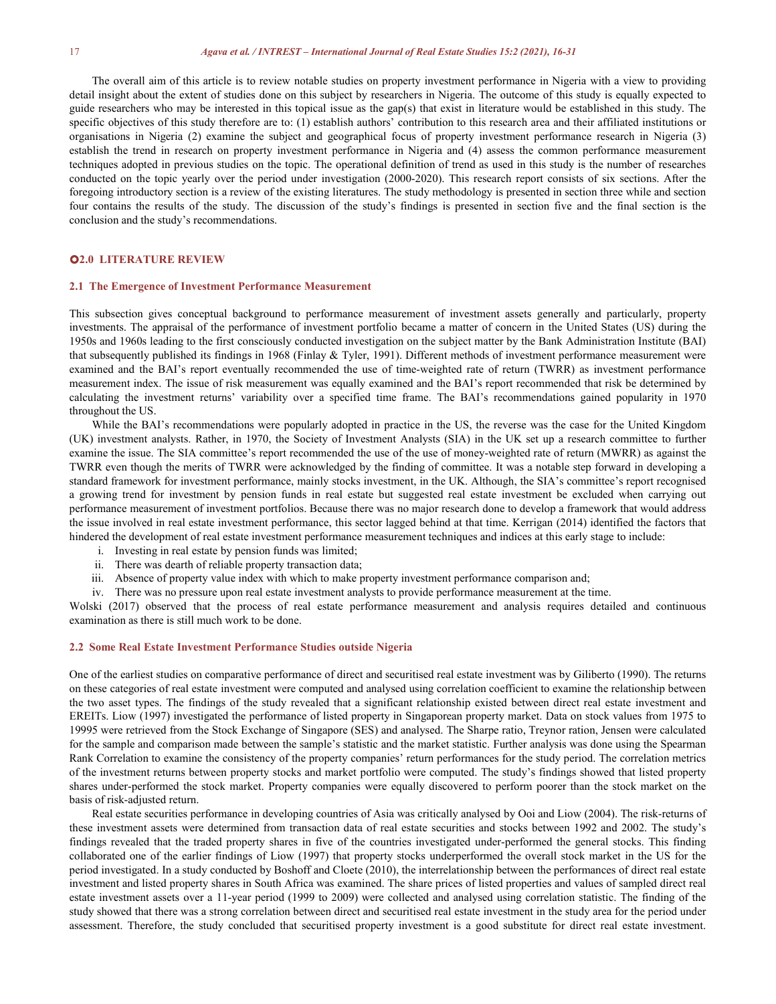#### 17 *Agava et al. / INTREST – International Journal of Real Estate Studies 15:2 (2021), 16-31*

The overall aim of this article is to review notable studies on property investment performance in Nigeria with a view to providing detail insight about the extent of studies done on this subject by researchers in Nigeria. The outcome of this study is equally expected to guide researchers who may be interested in this topical issue as the gap(s) that exist in literature would be established in this study. The specific objectives of this study therefore are to: (1) establish authors' contribution to this research area and their affiliated institutions or organisations in Nigeria (2) examine the subject and geographical focus of establish the trend in research on property investment performance in Nigeria and (4) assess the common performance measurement techniques adopted in previous studies on the topic. The operational definition of trend as used in this study is the number of researches conducted on the topic yearly over the period under investigation (2000-2020). This research report consists of six sections. After the foregoing introductory section is a review of the existing literatures. The study methodology is presented in section three while and section four contains the results of the study. The discussion of the study's findings is presented in section five and the final section is the conclusion and the study's recommendations.

# **2.0 LITERATURE REVIEW**

#### **2.1 The Emergence of Investment Performance Measurement**

This subsection gives conceptual background to performance measurement of investment assets generally and particularly, property investments. The appraisal of the performance of investment portfolio became a matter of concern in the United States (US) during the 1950s and 1960s leading to the first consciously conducted investigation on the subject matter by the Bank Administration Institute (BAI) that subsequently published its findings in 1968 (Finlay & Tyler, 1991). Different methods of investment performance measurement were examined and the BAI's report eventually recommended the use of time-weighted rate of return (TWRR) as investment performance measurement index. The issue of risk measurement was equally examined and the BAI's report recommended that risk be determined by calculating the investment returns' variability over a specified time frame. The BAI's recommendations gained popularity in 1970 throughout the US.

While the BAI's recommendations were popularly adopted in practice in the US, the reverse was the case for the United Kingdom (UK) investment analysts. Rather, in 1970, the Society of Investment Analysts (SIA) in the UK setup a research committee to further examine the issue. The SIA committee's report recommended the use of the use of money-weighted rate of return (MWRR) as against the TWRR even though the merits ofTWRR were acknowledged by the finding of committee. It was a notable step forward in developing a standard framework for investment performance, mainly stocks investment, in the UK. Although, the SIA's committee's report recognised a growing trend for investment by pension funds in real estate but suggested real estate investment be excluded when carrying out performance measurement of investment portfolios. Because there was no major research done to develop a framework that would address the issue involved in real estate investment performance, this sector lagged behind at that time. Kerrigan (2014) identified the factors that hindered the development of real estate investment performance measurement techniques and indices at this early stage to include:

- i. Investing in real estate by pension funds was limited;
- ii. There was dearth of reliable property transaction data;
- iii. Absence of property value index with which to make property investment performance comparison and;
- iv. There was no pressure upon real estate investment analysts to provide performance measurement at the time.

Wolski (2017) observed that the process of real estate performance measurement and analysis requires detailed and continuous examination as there is still much work to be done.

## **2.2 Some Real Estate Investment Performance Studies outside Nigeria**

One of the earliest studies on comparative performance of direct and securitised real estate investment was by Giliberto (1990). The returns on these categories ofreal estate investment were computed and analysed using correlation coefficient to examine the relationship between the two asset types. The findings of the study revealed that a significant relationship existed between direct real estate investment and EREITs. Liow (1997) investigated the performance of listed property in Singaporean property market. Data on stock values from 1975 to 19995 were retrieved from the Stock Exchange of Singapore (SES) and analysed. The Sharpe ratio, Treynor ration, Jensen were calculated for the sample and comparison made between the sample's statistic and the market statistic. Further analysis was done using the Spearman Rank Correlation to examine the consistency of the property companies' return performances for the study period. The correlation metrics of the investment returns between property stocks and market portfolio were computed. The study's findings showed that listed property shares under-performed the stock market. Property companies were equally discovered to perform poorer than the stock market on the basis ofrisk-adjusted return.

Real estate securities performance in developing countries of Asia was critically analysed by Ooi and Liow (2004). The risk-returns of these investment assets were determined from transaction data ofreal estate securities and stocks between 1992 and 2002. The study's findings revealed that the traded property shares in five of the countries investigated under-performed the general stocks. This finding collaborated one of the earlier findings of Liow (1997) that property stocks underperformed the overallstock market in the US for the period investigated. In a study conducted by Boshoff and Cloete (2010), the interrelationship between the performances of direct real estate investment and listed property shares in South Africa was examined. The share prices of listed properties and values of sampled direct real estate investment assets over a 11-year period (1999 to 2009) were collected and analysed using correlation statistic. The finding of the study showed that there was a strong correlation between direct and securitised real estate investment in the study area for the period under assessment. Therefore, the study concluded that securitised property investment is a good substitute for direct real estate investment.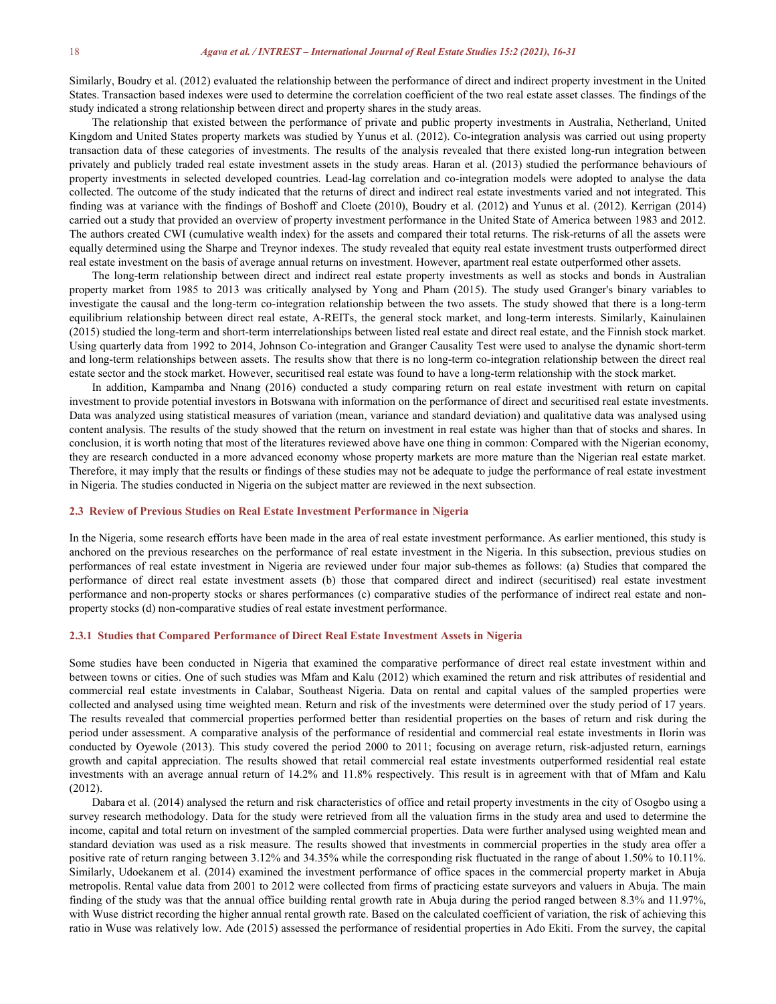Similarly, Boudry et al. (2012) evaluated the relationship between the performance of direct and indirect property investment in the United States. Transaction based indexes were used to determine the correlation coefficient of the two real estate asset classes. The findings of the study indicated a strong relationship between direct and property shares in the study areas.

The relationship that existed between the performance of private and public property investments in Australia, Netherland, United Kingdom and United States property markets was studied by Yunus et al. (2012). Co-integration analysis was carried out using property transaction data ofthese categories of investments. The results of the analysis revealed that there existed long-run integration between privately and publicly traded real estate investment assets in the study areas. Haran et al. (2013) studied the performance behaviours of property investments in selected developed countries. Lead-lag correlation and co-integration models were adopted to analyse the data collected. The outcome of the study indicated that the returns of direct and indirect real estate investments varied and not integrated. This finding was at variance with the findings of Boshoff and Cloete (2010), Boudry et al. (2012) and Yunus et al. (2012). Kerrigan (2014) carried out a study that provided an overview of property investment performance in the United State of America between 1983 and 2012. The authors created CWI (cumulative wealth index) for the assets and compared their total returns. The risk-returns of all the assets were equally determined using the Sharpe and Treynor indexes. The study revealed that equity real estate investment trusts outperformed direct real estate investment on the basis of average annual returns on investment. However, apartment real estate outperformed other assets.

The long-term relationship between direct and indirect real estate property investments as wellas stocks and bonds in Australian property market from 1985 to 2013 was critically analysed by Yong and Pham (2015). The study used Granger's binary variables to investigate the causal and the long-term co-integration relationship between the two assets. The study showed that there isa long-term equilibrium relationship between direct real estate, A-REITs, the general stock market, and long-term interests. Similarly, Kainulainen (2015) studied the long-term and short-term interrelationships between listed real estate and direct real estate, and the Finnish stock market. Using quarterly data from 1992 to 2014, Johnson Co-integration and Granger Causality Test were used to analyse the dynamic short-term and long-term relationships between assets. The results show that there isno long-term co-integration relationship between the direct real estate sector and the stock market. However, securitised real estate was found to have a long-term relationship with the stock market.

In addition, Kampamba and Nnang (2016) conducted a study comparing return on real estate investment with return on capital investment to provide potential investors in Botswana with information on the performance of direct and securitised real estate investments. Data was analyzed using statistical measures of variation (mean, variance and standard deviation) and qualitative data was analysed using content analysis. The results of the study showed that the return on investment in real estate was higher than that of stocks and shares. In conclusion, it is worth noting that most of the literatures reviewed above have one thing in common: Compared with the Nigerian economy, they are research conducted in a more advanced economy whose property markets are more mature than the Nigerian real estate market. Therefore, it may imply that the results or findings of these studies may not be adequate to judge the performance of real estate investment in Nigeria. The studies conducted in Nigeria on the subject matter are reviewed in the next subsection.

#### **2.3 Review of Previous Studies on Real Estate Investment Performance in Nigeria**

In the Nigeria, some research efforts have been made in the area of real estate investment performance. As earlier mentioned, this study is anchored on the previous researches on the performance of real estate investment in the Nigeria. In this subsection, previous studies on performances of real estate investment in Nigeria are reviewed under four major sub-themes as follows: (a) Studies that compared the performance of direct real estate investment assets (b) those that compared direct and indirect (securitised) real estate investment performance and non-property stocks or shares performances (c) comparative studies of the performance of indirect real estate and non property stocks (d) non-comparative studies ofreal estate investment performance.

#### **2.3.1 Studies that Compared Performance of Direct Real Estate Investment Assets in Nigeria**

Some studies have been conducted in Nigeria that examined the comparative performance of direct real estate investment within and between towns or cities. One of such studies was Mfam and Kalu (2012) which examined the return and risk attributes ofresidential and commercial real estate investments in Calabar, Southeast Nigeria. Data on rental and capital values of the sampled properties were collected and analysed using time weighted mean. Return and risk of the investments were determined over the study period of 17 years. The results revealed that commercial properties performed better than residential properties on the bases of return and risk during the period under assessment. A comparative analysis of the performance of residential and commercial real estate investments in Ilorin was conducted by Oyewole (2013). This study covered the period 2000 to 2011; focusing on average return, risk-adjusted return, earnings growth and capital appreciation. The results showed that retail commercial real estate investments outperformed residential real estate investments with an average annual return of 14.2% and 11.8% respectively. This result is in agreement with that of Mfam and Kalu (2012).

Dabara et al. (2014) analysed the return and risk characteristics of office and retail property investments in the city of Osogbo using a survey research methodology. Data for the study were retrieved from all the valuation firms in the study area and used to determine the income, capital and total return on investment of the sampled commercial properties. Data were further analysed using weighted mean and standard deviation was used as a risk measure. The results showed that investments in commercial properties in the study area offer a positive rate of return ranging between 3.12% and 34.35% while the corresponding risk fluctuated in the range of about 1.50% to 10.11%. Similarly, Udoekanem et al. (2014) examined the investment performance of office spaces in the commercial property market in Abuja metropolis. Rental value data from 2001 to 2012 were collected from firms of practicing estate surveyors and valuers in Abuja. The main finding of the study was that the annual office building rental growth rate in Abuja during the period ranged between 8.3% and 11.97%, with Wuse district recording the higher annual rental growth rate. Based on the calculated coefficient of variation, the risk of achieving this ratio in Wuse was relatively low. Ade (2015) assessed the performance of residential properties in Ado Ekiti. From the survey, the capital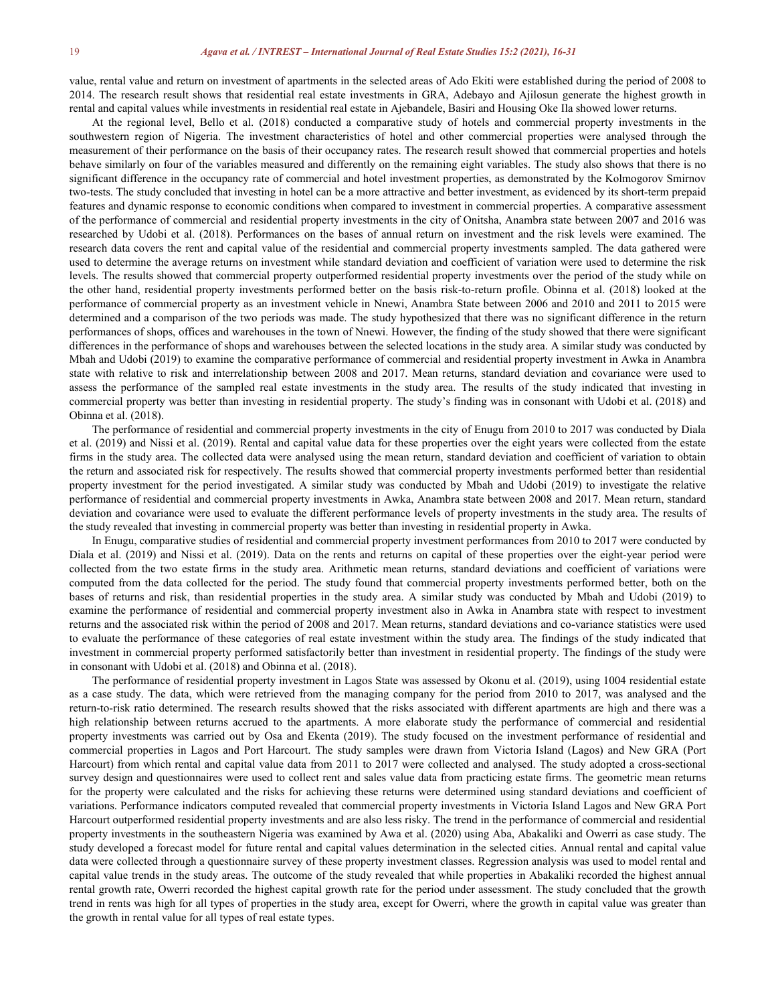value, rental value and return on investment of apartments in the selected areas of Ado Ekiti were established during the period of 2008 to 2014. The research result shows that residential real estate investments in GRA, Adebayo and Ajilosun generate the highest growth in rental and capital values while investments in residential real estate in Ajebandele, Basiri and Housing Oke Ila showed lower returns.

At the regional level, Bello et al. (2018) conducted a comparative study of hotels and commercial property investments in the southwestern region of Nigeria. The investment characteristics of hotel and other commercial properties were analysed through the measurement of their performance on the basis oftheir occupancy rates. The research result showed that commercial properties and hotels behave similarly on four of the variables measured and differently on the remaining eight variables. The study also shows that there is no significant difference in the occupancy rate of commercial and hotel investment properties, as demonstrated by the Kolmogorov Smirnov two-tests. The study concluded that investing in hotel can be a more attractive and better investment, as evidenced by its short-term prepaid features and dynamic response to economic conditions when compared to investment in commercial properties. A comparative assessment of the performance of commercial and residential property investments in the city of Onitsha, Anambra state between 2007 and 2016 was researched by Udobiet al. (2018). Performances on the bases of annual return on investment and the risk levels were examined. The research data covers the rent and capital value of the residential and commercial property investments sampled. The data gathered were used to determine the average returns on investment while standard deviation and coefficient of variation were used to determine the risk levels. The results showed that commercial property outperformed residential property investments over the period of the study while on the other hand, residential property investments performed better on the basis risk-to-return profile. Obinna et al. (2018) looked at the performance of commercial property as an investment vehicle in Nnewi, Anambra State between 2006 and 2010 and 2011 to 2015 were determined and a comparison of the two periods was made. The study hypothesized that there was no significant difference in the return performances ofshops, offices and warehouses in the town of Nnewi. However, the finding of the study showed that there were significant differences in the performance of shops and warehouses between the selected locations in the study area. A similar study was conducted by Mbah and Udobi (2019) to examine the comparative performance of commercial and residential property investment in Awka in Anambra state with relative to risk and interrelationship between 2008 and 2017. Mean returns, standard deviation and covariance were used to assess the performance of the sampled real estate investments in the study area. The results of the study indicated that investing in commercial property was better than investing in residential property. The study's finding was in consonant with Udobi et al. (2018) and Obinna et al. (2018).

The performance of residential and commercial property investments in the city of Enugu from 2010 to 2017 was conducted by Diala et al. (2019) and Nissi et al. (2019). Rental and capital value data for these properties over the eight years were collected from the estate firms in the study area. The collected data were analysed using the mean return, standard deviation and coefficient of variation to obtain the return and associated risk forrespectively. The results showed that commercial property investments performed better than residential property investment for the period investigated. A similar study was conducted by Mbah and Udobi (2019) to investigate the relative performance of residential and commercial property investments in Awka, Anambra state between 2008 and 2017. Mean return, standard deviation and covariance were used to evaluate the different performance levels of property investments in the study area. The results of the study revealed that investing in commercial property was better than investing in residential property in Awka.

In Enugu, comparative studies ofresidential and commercial property investment performances from 2010 to 2017 were conducted by Diala et al. (2019) and Nissi et al. (2019). Data on the rents and returns on capital of these properties over the eight-year period were collected from the two estate firms in the study area. Arithmetic mean returns, standard deviations and coefficient of variations were computed from the data collected for the period. The study found that commercial property investments performed better, both on the bases of returns and risk, than residential properties in the study area. A similar study was conducted by Mbah and Udobi (2019) to examine the performance of residential and commercial property investment also in Awka in Anambra state with respect to investment returns and the associated risk within the period of 2008 and 2017. Mean returns, standard deviations and co-variance statistics were used to evaluate the performance of these categories of real estate investment within the study area. The findings of the study indicated that investment in commercial property performed satisfactorily better than investment in residential property. The findings of the study were in consonant with Udobi et al. (2018) and Obinna et al. (2018).

The performance of residential property investment in Lagos State was assessed by Okonu et al. (2019), using 1004 residential estate as a case study. The data, which were retrieved from the managing company for the period from 2010 to 2017, was analysed and the return-to-risk ratio determined. The research results showed that the risks associated with different apartments are high and there was a high relationship between returns accrued to the apartments. A more elaborate study the performance of commercial and residential property investments was carried out by Osa and Ekenta (2019). The study focused on the investment performance of residential and commercial properties in Lagos and Port Harcourt. The study samples were drawn from Victoria Island (Lagos) and New GRA (Port Harcourt) from which rental and capital value data from 2011 to 2017 were collected and analysed. The study adopted a cross-sectional survey design and questionnaires were used to collect rent and sales value data from practicing estate firms. The geometric mean returns for the property were calculated and the risks for achieving these returns were determined using standard deviations and coefficient of variations. Performance indicators computed revealed that commercial property investments in Victoria Island Lagos and New GRA Port Harcourt outperformed residential property investments and are also less risky. The trend in the performance of commercial and residential property investments in the southeastern Nigeria was examined by Awa et al. (2020) using Aba, Abakaliki and Owerri as case study. The study developed a forecast model for future rental and capital values determination in the selected cities. Annual rental and capital value data were collected through a questionnaire survey of these property investment classes. Regression analysis was used to model rental and capital value trends in the study areas. The outcome of the study revealed that while properties in Abakaliki recorded the highest annual rental growth rate, Owerri recorded the highest capital growth rate for the period under assessment. The study concluded that the growth trend in rents was high for all types of properties in the study area, except for Owerri, where the growth in capital value was greater than the growth in rental value for all types of real estate types.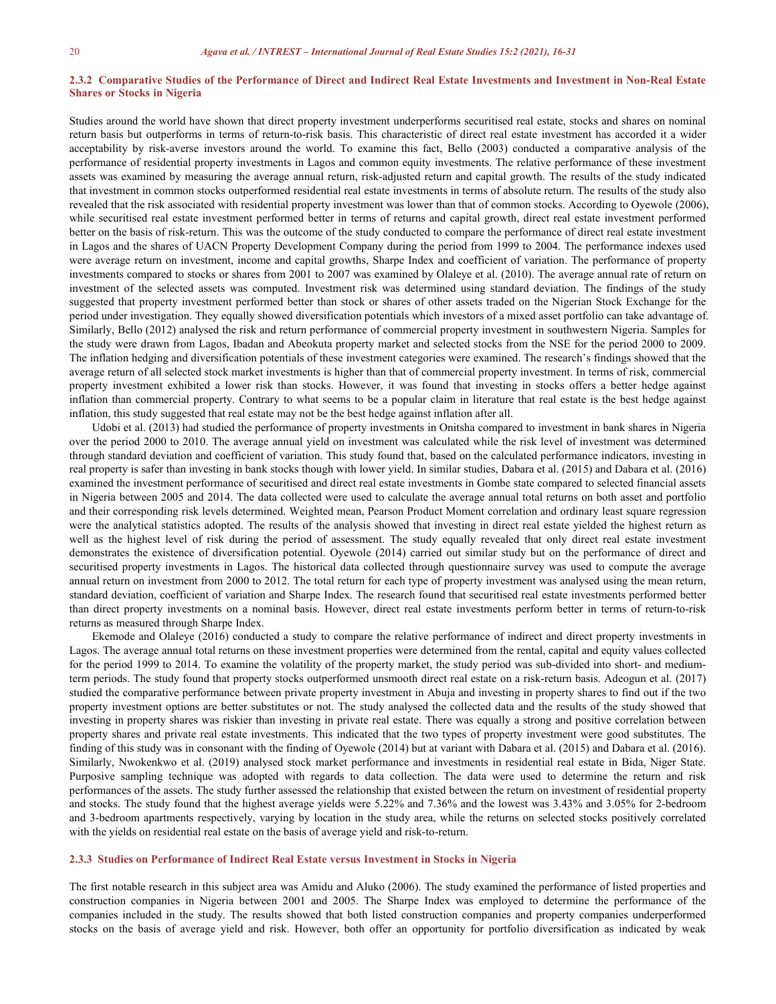## 2.3.2 Comparative Studies of the Performance of Direct and Indirect Real Estate Investments and Investment in Non-Real Estate **Shares or Stocks in Nigeria**

Studies around the world have shown that direct property investment underperforms securitised real estate, stocks and shares on nominal return basis but outperforms in terms of return-to-risk basis. This characteristic of direct real estate investment has accorded it a wider acceptability by risk-averse investors around the world. To examine this fact, Bello (2003) conducted a comparative analysis of the performance of residential property investments in Lagos and common equity investments. The relative performance of these investment assets was examined by measuring the average annual return, risk-adjusted return and capital growth. The results of the study indicated that investment in common stocks outperformed residential real estate investments in terms of absolute return. The results ofthe study also revealed that the risk associated with residential property investment was lower than that of common stocks. According to Oyewole (2006), while securitised real estate investment performed better in terms of returns and capital growth, direct real estate investment performed better on the basis ofrisk-return. This was the outcome of the study conducted to compare the performance of direct real estate investment in Lagos and the shares of UACN Property Development Company during the period from 1999 to 2004. The performance indexes used were average return on investment, income and capital growths, Sharpe Index and coefficient of variation. The performance of property investments compared to stocks orshares from 2001 to 2007 was examined by Olaleye et al. (2010). The average annual rate of return on investment of the selected assets was computed. Investment risk was determined using standard deviation. The findings of the study suggested that property investment performed better than stock or shares of other assets traded on the Nigerian Stock Exchange for the period under investigation. They equally showed diversification potentials which investors of a mixed asset portfolio can take advantage of. Similarly, Bello (2012) analysed the risk and return performance of commercial property investment in southwestern Nigeria. Samples for the study were drawn from Lagos, Ibadan and Abeokuta property market and selected stocks from the NSE for the period 2000 to 2009. The inflation hedging and diversification potentials of these investment categories were examined. The research's findings showed that the average return of all selected stock market investments is higher than that of commercial property investment. In terms ofrisk, commercial property investment exhibited a lower risk than stocks. However, it was found that investing in stocks offers a better hedge against inflation than commercial property. Contrary to what seems to be a popular claim in literature that real estate isthe best hedge against inflation, this study suggested that real estate may not be the best hedge against inflation after all.<br>Udobi et al. (2013) had studied the performance of property investments in Onitsha compared to investment in bank shar

over the period 2000 to 2010. The average annual yield on investment was calculated while the risk level of investment was determined through standard deviation and coefficient of variation. This study found that, based on the calculated performance indicators, investing in real property is saferthan investing in bank stocks though with lower yield. In similar studies, Dabara et al. (2015) and Dabara et al. (2016) examined the investment performance of securitised and direct realestate investments in Gombe state compared to selected financial assets in Nigeria between 2005 and 2014. The data collected were used to calculate the average annual total returns on both asset and portfolio and their corresponding risk levels determined. Weighted mean, Pearson Product Moment correlation and ordinary least square regression were the analytical statistics adopted. The results of the analysis showed that investing in direct real estate yielded the highest return as well as the highest level of risk during the period of assessment. The study equally revealed that only direct real estate investment demonstrates the existence of diversification potential. Oyewole (2014) carried out similar study but on the performance of direct and securitised property investments in Lagos. The historical data collected through questionnaire survey was used to compute the average annual return on investment from 2000 to 2012. The total return for each type of property investment was analysed using the mean return, standard deviation, coefficient of variation and Sharpe Index. The research found that securitised real estate investments performed better than direct property investments on a nominal basis. However, direct real estate investments perform better in terms of return-to-risk returns as measured through Sharpe Index.

Ekemode and Olaleye (2016) conducted a study to compare the relative performance of indirect and direct property investments in Lagos. The average annual total returns on these investment properties were determined from the rental, capital and equity values collected for the period 1999 to 2014. To examine the volatility of the property market, the study period was sub-divided into short- and mediumterm periods. The study found that property stocks outperformed unsmooth direct real estate on a risk-return basis. Adeogun et al. (2017) studied the comparative performance between private property investment in Abuja and investing in property shares to find out if the two property investment options are better substitutes or not. The study analysed the collected data and the results of the study showed that investing in property shares was riskier than investing in private real estate. There was equally a strong and positive correlation between property shares and private real estate investments. This indicated that the two types of property investment were good substitutes. The finding of this study was in consonantwith the finding of Oyewole (2014) but at variant with Dabara et al. (2015) and Dabara et al. (2016). Similarly, Nwokenkwo et al. (2019) analysed stock market performance and investments in residential real estate in Bida, Niger State. Purposive sampling technique was adopted with regards to data collection. The data were used to determine the return and risk performances ofthe assets. The study further assessed the relationship that existed between the return on investment of residential property and stocks. The study found that the highest average yields were 5.22% and 7.36% and the lowest was 3.43% and 3.05% for 2-bedroom and 3-bedroom apartments respectively, varying by location in the study area, while the returns on selected stocks positively correlated with the yields on residential real estate on the basis of average yield and risk-to-return.

#### **2.3.3 Studies on Performance of Indirect Real Estate versus Investment in Stocks in Nigeria**

The first notable research in this subject area was Amidu and Aluko (2006). The study examined the performance of listed properties and construction companies in Nigeria between 2001 and 2005. The Sharpe Index was employed to determine the performance of the companies included in the study. The results showed that both listed construction companies and property companies underperformed stocks on the basis of average yield and risk. However, both offer an opportunity for portfolio diversification as indicated by weak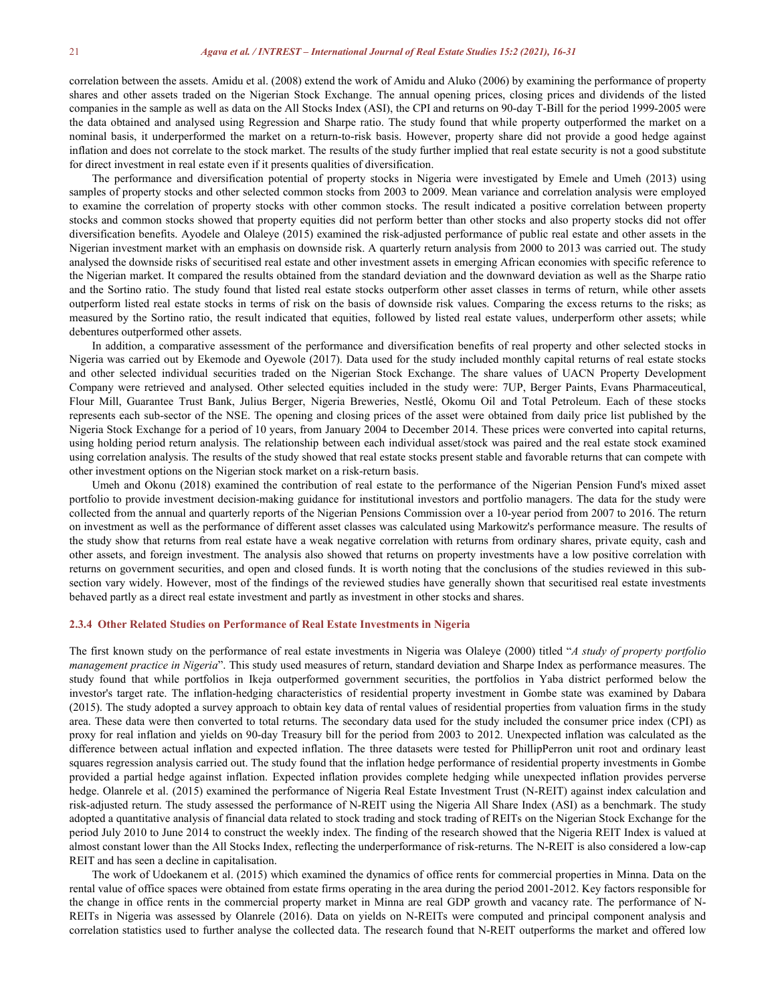correlation between the assets. Amidu et al. (2008) extend the work of Amidu and Aluko (2006) by examining the performance of property shares and other assets traded on the Nigerian Stock Exchange. The annual opening prices, closing prices and dividends of the listed companies in the sample as well as data on the All Stocks Index (ASI), the CPI and returns on 90-day T-Bill for the period 1999-2005 were the data obtained and analysed using Regression and Sharpe ratio. The study found that while property outperformed the market on a nominal basis, it underperformed the market on a return-to-risk basis. However, property share did not provide a good hedge against inflation and does not correlate to the stock market. The results of the study further implied that real estate security is not a good substitute for direct investment in real estate even if it presents qualities of diversification.

The performance and diversification potential of property stocks in Nigeria were investigated by Emele and Umeh (2013) using samples of property stocks and other selected common stocks from 2003 to 2009. Mean variance and correlation analysis were employed to examine the correlation of property stocks with other common stocks. The result indicated a positive correlation between property stocks and common stocks showed that property equities did not perform better than other stocks and also property stocks did not offer diversification benefits. Ayodele and Olaleye (2015) examined the risk-adjusted performance of public real estate and other assets in the Nigerian investment market with an emphasis on downside risk. A quarterly return analysis from 2000 to 2013 was carried out. The study analysed the downside risks of securitised real estate and other investment assets in emerging African economies with specific reference to the Nigerian market. It compared the results obtained from the standard deviation and the downward deviation as well as the Sharpe ratio and the Sortino ratio. The study found that listed real estate stocks outperform other asset classes in terms of return, while other assets outperform listed real estate stocks in terms of risk on the basis of downside risk values. Comparing the excess returns to the risks; as measured by the Sortino ratio, the result indicated that equities, followed by listed real estate values, underperform other assets; while debentures outperformed other assets.

In addition, a comparative assessment of the performance and diversification benefits of real property and other selected stocks in Nigeria was carried out by Ekemode and Oyewole (2017). Data used for the study included monthly capital returns of real estate stocks and other selected individual securities traded on the Nigerian Stock Exchange. The share values of UACN Property Development Company were retrieved and analysed. Other selected equities included in the study were: 7UP, Berger Paints, Evans Pharmaceutical, Flour Mill, Guarantee Trust Bank, Julius Berger, Nigeria Breweries, Nestlé, Okomu Oil and Total Petroleum. Each of these stocks represents each sub-sector of the NSE. The opening and closing prices of the asset were obtained from daily price list published by the Nigeria Stock Exchange for a period of 10 years, from January 2004 to December 2014. These prices were converted into capital returns, using holding period return analysis. The relationship between each individual asset/stock was paired and the real estate stock examined using correlation analysis. The results of the study showed that real estate stocks present stable and favorable returns that can compete with other investment options on the Nigerian stock market on a risk-return basis.

Umeh and Okonu (2018) examined the contribution of real estate to the performance of the Nigerian Pension Fund's mixed asset portfolio to provide investment decision-making guidance for institutional investors and portfolio managers. The data for the study were collected from the annual and quarterly reports of the Nigerian Pensions Commission over a 10-year period from 2007 to 2016. The return on investment as well as the performance of different asset classes was calculated using Markowitz's performance measure. The results of the study show that returns from real estate have a weak negative correlation with returns from ordinary shares, private equity, cash and other assets, and foreign investment. The analysis also showed that returns on property investments have a low positive correlation with returns on government securities, and open and closed funds. It is worth noting that the conclusions of the studies reviewed in this sub section vary widely. However, most of the findings of the reviewed studies have generally shown that securitised real estate investments behaved partly as a direct real estate investment and partly as investment in other stocks and shares.

#### **2.3.4 Other Related Studies on Performance of Real Estate Investments in Nigeria**

The first known study on the performance of real estate investments in Nigeria was Olaleye (2000) titled "*A study of property portfolio management practice in Nigeria*". This study used measures of return, standard deviation and Sharpe Index as performance measures. The study found that while portfolios in Ikeja outperformed government securities, the portfolios in Yaba district performed below the investor's target rate. The inflation-hedging characteristics of residential property investment in Gombe state was examined by Dabara (2015). The study adopted a survey approach to obtain key data of rental values of residential properties from valuation firms in the study area. These data were then converted to total returns. The secondary data used for the study included the consumer price index (CPI) as proxy for real inflation and yields on 90-day Treasury bill forthe period from 2003 to 2012. Unexpected inflation was calculated as the difference between actual inflation and expected inflation. The three datasets were tested for PhillipPerron unit root and ordinary least squares regression analysis carried out. The study found that the inflation hedge performance of residential property investments in Gombe provided a partial hedge against inflation. Expected inflation provides complete hedging while unexpected inflation provides perverse hedge. Olanrele et al. (2015) examined the performance of Nigeria Real Estate Investment Trust (N-REIT) against index calculation and risk-adjusted return. The study assessed the performance of N-REIT using the Nigeria All Share Index (ASI) as a benchmark. The study adopted a quantitative analysis offinancial data related to stock trading and stock trading of REITs on the Nigerian Stock Exchange for the period July 2010 to June 2014 to construct the weekly index. The finding of the research showed that the Nigeria REIT Index is valued at almost constant lower than the All Stocks Index, reflecting the underperformance of risk-returns. The N-REIT is also considered a low-cap REIT and has seen a decline in capitalisation.

The work of Udoekanem et al. (2015) which examined the dynamics of office rents for commercial properties in Minna. Data on the rental value of office spaces were obtained from estate firms operating in the area during the period 2001-2012. Key factors responsible for the change in office rents in the commercial property market in Minna are real GDP growth and vacancy rate. The performance of N- REITs in Nigeria was assessed by Olanrele (2016). Data on yields on N-REITs were computed and principal component analysis and correlation statistics used to further analyse the collected data. The research found that N-REIT outperforms the market and offered low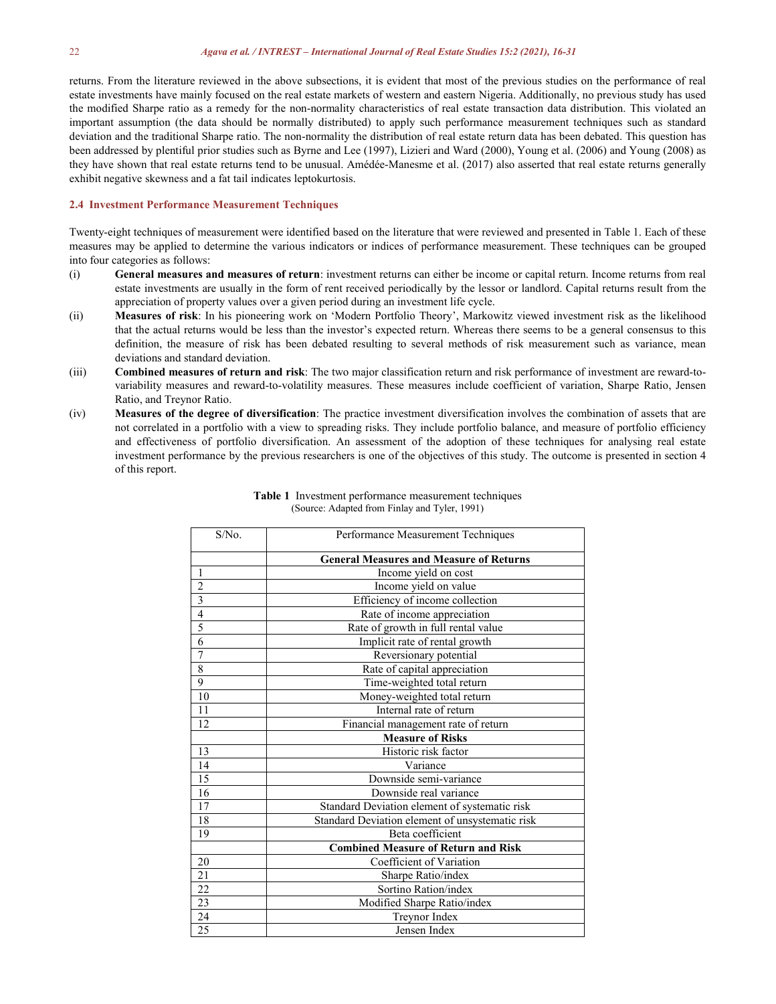returns. From the literature reviewed in the above subsections, it is evident that most of the previous studies on the performance of real estate investments have mainly focused on the real estate markets of western and eastern Nigeria. Additionally, no previous study has used the modified Sharpe ratio as a remedy for the non-normality characteristics of real estate transaction data distribution. This violated an important assumption (the data should be normally distributed) to apply such performance measurement techniques such as standard deviation and the traditional Sharpe ratio. The non-normality the distribution of real estate return data has been debated. This question has been addressed by plentiful prior studies such as Byrne and Lee (1997), Lizieri and Ward (2000), Young et al. (2006) and Young (2008) as they have shown that real estate returns tend to be unusual.Amédée-Manesme et al. (2017) also asserted that real estate returns generally exhibit negative skewness and a fat tail indicates leptokurtosis.

#### **2.4 Investment Performance Measurement Techniques**

Twenty-eight techniques of measurement were identified based on the literature that were reviewed and presented in Table 1. Each of these measures may be applied to determine the various indicators or indices of performance measurement. These techniques can be grouped into four categories as follows:

- (i) **General measures and measures ofreturn**: investment returns can either be income or capital return. Income returns from real estate investments are usually in the form of rent received periodically by the lessor or landlord. Capital returns result from the appreciation of property values over a given period during an investment life cycle.
- (ii) **Measures of risk**: In his pioneering work on 'Modern Portfolio Theory', Markowitz viewed investment risk as the likelihood that the actual returns would be less than the investor's expected return. Whereas there seems to be a general consensus to this definition, the measure of risk has been debated resulting to several methods of risk measurement such as variance, mean deviations and standard deviation.
- (iii) **Combined measures of return and risk**: The two major classification return and risk performance of investment are reward-to variability measures and reward-to-volatility measures. These measures include coefficient of variation, Sharpe Ratio, Jensen Ratio, and Treynor Ratio.
- (iv) **Measures of the degree of diversification**: The practice investment diversification involves the combination of assets that are not correlated in a portfolio with a view to spreading risks. They include portfolio balance, and measure of portfolio efficiency and effectiveness of portfolio diversification. An assessment of the adoption of these techniques for analysing real estate investment performance by the previous researchers is one of the objectives of this study. The outcome is presented in section 4 of this report.

| S/No.           | Performance Measurement Techniques              |  |  |  |  |
|-----------------|-------------------------------------------------|--|--|--|--|
|                 | <b>General Measures and Measure of Returns</b>  |  |  |  |  |
| 1               | Income yield on cost                            |  |  |  |  |
| $\overline{2}$  | Income yield on value                           |  |  |  |  |
| $\overline{3}$  | Efficiency of income collection                 |  |  |  |  |
| $\overline{4}$  | Rate of income appreciation                     |  |  |  |  |
| $\overline{5}$  | Rate of growth in full rental value             |  |  |  |  |
| 6               | Implicit rate of rental growth                  |  |  |  |  |
| 7               | Reversionary potential                          |  |  |  |  |
| $\overline{8}$  | Rate of capital appreciation                    |  |  |  |  |
| 9               | Time-weighted total return                      |  |  |  |  |
| 10              | Money-weighted total return                     |  |  |  |  |
| 11              | Internal rate of return                         |  |  |  |  |
| 12              | Financial management rate of return             |  |  |  |  |
|                 | <b>Measure of Risks</b>                         |  |  |  |  |
| 13              | Historic risk factor                            |  |  |  |  |
| 14              | Variance                                        |  |  |  |  |
| 15              | Downside semi-variance                          |  |  |  |  |
| 16              | Downside real variance                          |  |  |  |  |
| 17              | Standard Deviation element of systematic risk   |  |  |  |  |
| 18              | Standard Deviation element of unsystematic risk |  |  |  |  |
| 19              | Beta coefficient                                |  |  |  |  |
|                 | <b>Combined Measure of Return and Risk</b>      |  |  |  |  |
| 20              | Coefficient of Variation                        |  |  |  |  |
| $\overline{21}$ | Sharpe Ratio/index                              |  |  |  |  |
| 22              | Sortino Ration/index                            |  |  |  |  |
| 23              | Modified Sharpe Ratio/index                     |  |  |  |  |
| 24              | Treynor Index                                   |  |  |  |  |
| 25              | Jensen Index                                    |  |  |  |  |

#### **Table 1** Investment performance measurement techniques (Source: Adapted from Finlay and Tyler, 1991)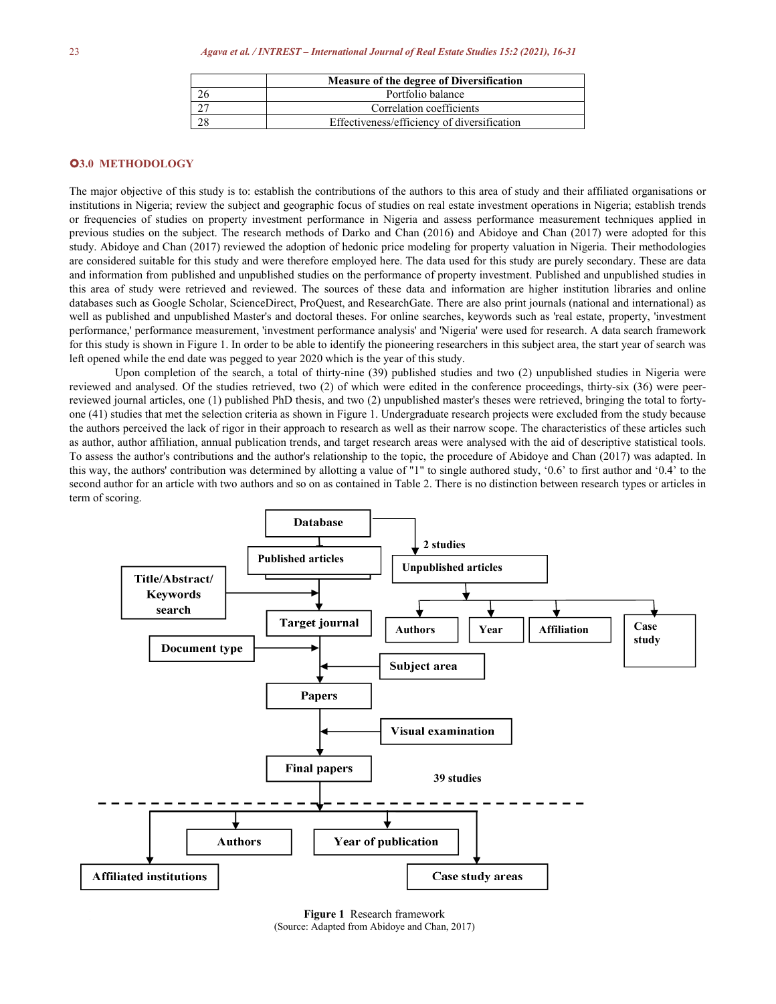| Measure of the degree of Diversification    |
|---------------------------------------------|
| Portfolio balance                           |
| Correlation coefficients                    |
| Effectiveness/efficiency of diversification |

# **3.0 METHODOLOGY**

The major objective of this study is to: establish the contributions of the authors to this area of study and their affiliated organisations or institutions in Nigeria; review the subject and geographic focus of studies on real estate investment operations in Nigeria; establish trends or frequencies of studies on property investment performance in Nigeria and assess performance measurement techniques applied in previous studies on the subject. The research methods of Darko and Chan (2016) and Abidoye and Chan (2017) were adopted for this study. Abidoye and Chan (2017) reviewed the adoption of hedonic price modeling for property valuation in Nigeria. Their methodologies are considered suitable for this study and were therefore employed here. The data used for this study are purely secondary. These are data and information from published and unpublished studies on the performance of property investment. Published and unpublished studies in this area of study were retrieved and reviewed. The sources of these data and information are higher institution libraries and online databases such as Google Scholar, ScienceDirect, ProQuest, and ResearchGate. There are also print journals (national and international) as well as published and unpublished Master's and doctoral theses. For online searches, keywords such as 'real estate, property, 'investment performance,' performance measurement, 'investment performance analysis' and 'Nigeria' were used for research. A data search framework for this study is shown in Figure 1. In order to be able to identify the pioneering researchers in this subject area, the start year of search was left opened while the end date was pegged to year 2020 which is the year of this study.<br>Upon completion of the search, a total of thirty-nine (39) published studies and two (2) unpublished studies in Nigeria were

reviewed and analysed. Of the studies retrieved, two (2) of which were edited in the conference proceedings, thirty-six (36) were peerreviewed journal articles, one (1) published PhD thesis, and two (2) unpublished master's theses were retrieved, bringing the total to forty one (41) studies that met the selection criteria asshown in Figure 1. Undergraduate research projects were excluded from the study because the authors perceived the lack of rigor in their approach to research as well as their narrow scope. The characteristics of these articles such as author, author affiliation, annual publication trends, and target research areas were analysed with the aid of descriptive statistical tools. To assess the author's contributions and the author's relationship to the topic, the procedure of Abidoye and Chan (2017) was adapted. In this way, the authors' contribution was determined by allotting a value of "1" to single authored study, '0.6' to first author and '0.4' to the second author for an article with two authors and so on as contained in Table 2. There is no distinction between research types or articles in term of scoring.



**Figure 1** Research framework (Source: Adapted from Abidoye and Chan, 2017)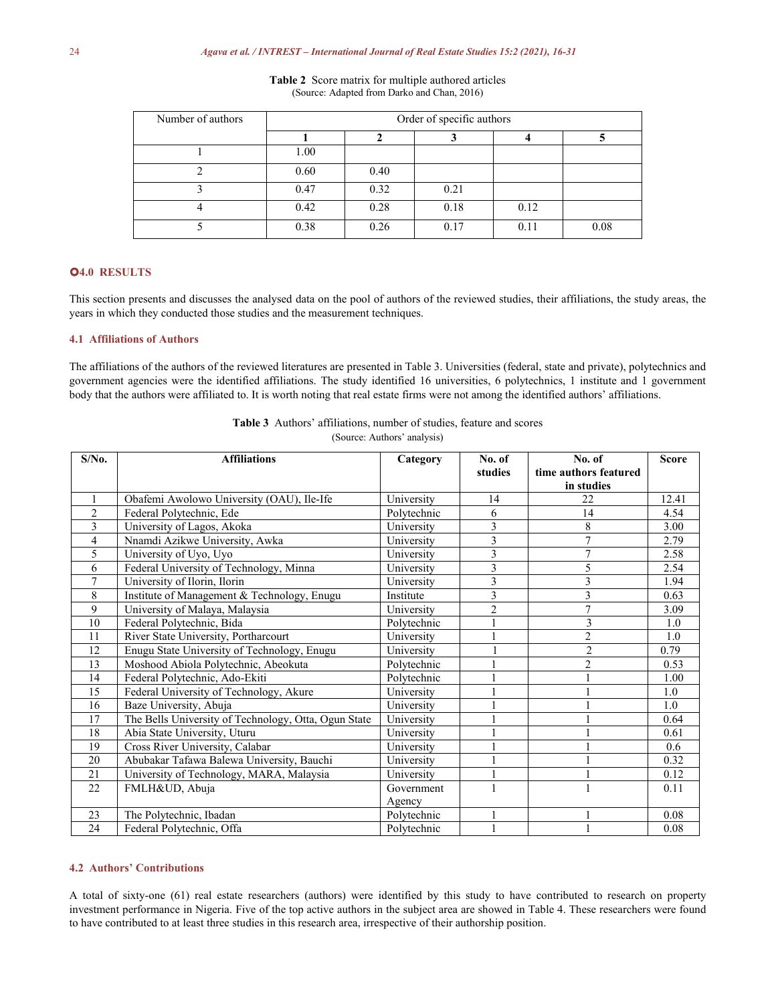| Number of authors | Order of specific authors |      |      |      |      |  |  |
|-------------------|---------------------------|------|------|------|------|--|--|
|                   |                           |      |      |      |      |  |  |
|                   | 1.00                      |      |      |      |      |  |  |
|                   | 0.60                      | 0.40 |      |      |      |  |  |
|                   | 0.47                      | 0.32 | 0.21 |      |      |  |  |
|                   | 0.42                      | 0.28 | 0.18 | 0.12 |      |  |  |
|                   | 0.38                      | 0.26 | 0.17 | 0.11 | 0.08 |  |  |

**Table 2** Score matrix for multiple authored articles (Source: Adapted from Darko and Chan, 2016)

# **4.0 RESULTS**

This section presents and discusses the analysed data on the pool of authors of the reviewed studies, their affiliations, the study areas, the years in which they conducted those studies and the measurement techniques.

# **4.1 Affiliations of Authors**

The affiliations of the authors of the reviewed literatures are presented in Table 3. Universities (federal, state and private), polytechnics and government agencies were the identified affiliations. The study identified 16 universities, 6 polytechnics, 1 institute and 1 government body that the authors were affiliated to. It is worth noting that real estate firms were not among the identified authors' affiliations.

| $S/N0$ . | <b>Affiliations</b>                                  | Category    | No. of<br>studies | No. of<br>time authors featured | <b>Score</b> |
|----------|------------------------------------------------------|-------------|-------------------|---------------------------------|--------------|
|          |                                                      |             |                   | in studies                      |              |
|          | Obafemi Awolowo University (OAU), Ile-Ife            | University  | 14                | 22                              | 12.41        |
| 2        | Federal Polytechnic, Ede                             | Polytechnic | 6                 | 14                              | 4.54         |
| 3        | University of Lagos, Akoka                           | University  | 3                 | 8                               | 3.00         |
| 4        | Nnamdi Azikwe University, Awka                       | University  | 3                 |                                 | 2.79         |
| 5        | University of Uyo, Uyo                               | University  | 3                 |                                 | 2.58         |
| 6        | Federal University of Technology, Minna              | University  | 3                 | 5                               | 2.54         |
| 7        | University of Ilorin, Ilorin                         | University  | 3                 |                                 | 1.94         |
| 8        | Institute of Management & Technology, Enugu          | Institute   | 3                 |                                 | 0.63         |
| 9        | University of Malaya, Malaysia                       | University  | $\overline{2}$    | 7                               | 3.09         |
| 10       | Federal Polytechnic, Bida                            | Polytechnic |                   | 3                               | 1.0          |
| 11       | River State University, Portharcourt                 | University  |                   | $\overline{2}$                  | 1.0          |
| 12       | Enugu State University of Technology, Enugu          | University  |                   | $\overline{c}$                  | 0.79         |
| 13       | Moshood Abiola Polytechnic, Abeokuta                 | Polytechnic |                   | $\overline{2}$                  | 0.53         |
| 14       | Federal Polytechnic, Ado-Ekiti                       | Polytechnic |                   |                                 | 1.00         |
| 15       | Federal University of Technology, Akure              | University  |                   |                                 | 1.0          |
| 16       | Baze University, Abuja                               | University  |                   |                                 | 1.0          |
| 17       | The Bells University of Technology, Otta, Ogun State | University  |                   |                                 | 0.64         |
| 18       | Abia State University, Uturu                         | University  |                   |                                 | 0.61         |
| 19       | Cross River University, Calabar                      | University  |                   |                                 | 0.6          |
| 20       | Abubakar Tafawa Balewa University, Bauchi            | University  |                   |                                 | 0.32         |
| 21       | University of Technology, MARA, Malaysia             | University  |                   |                                 | 0.12         |
| 22       | FMLH&UD, Abuja                                       | Government  |                   |                                 | 0.11         |
|          |                                                      | Agency      |                   |                                 |              |
| 23       | The Polytechnic, Ibadan                              | Polytechnic |                   |                                 | 0.08         |
| 24       | Federal Polytechnic, Offa                            | Polytechnic |                   |                                 | 0.08         |

**Table 3** Authors' affiliations, number of studies, feature and scores (Source: Authors' analysis)

#### **4.2 Authors' Contributions**

A total of sixty-one (61) real estate researchers (authors) were identified by this study to have contributed to research on property investment performance in Nigeria. Five of the top active authors in the subject area are showed in Table 4. These researchers were found to have contributed to at least three studies in this research area, irrespective of their authorship position.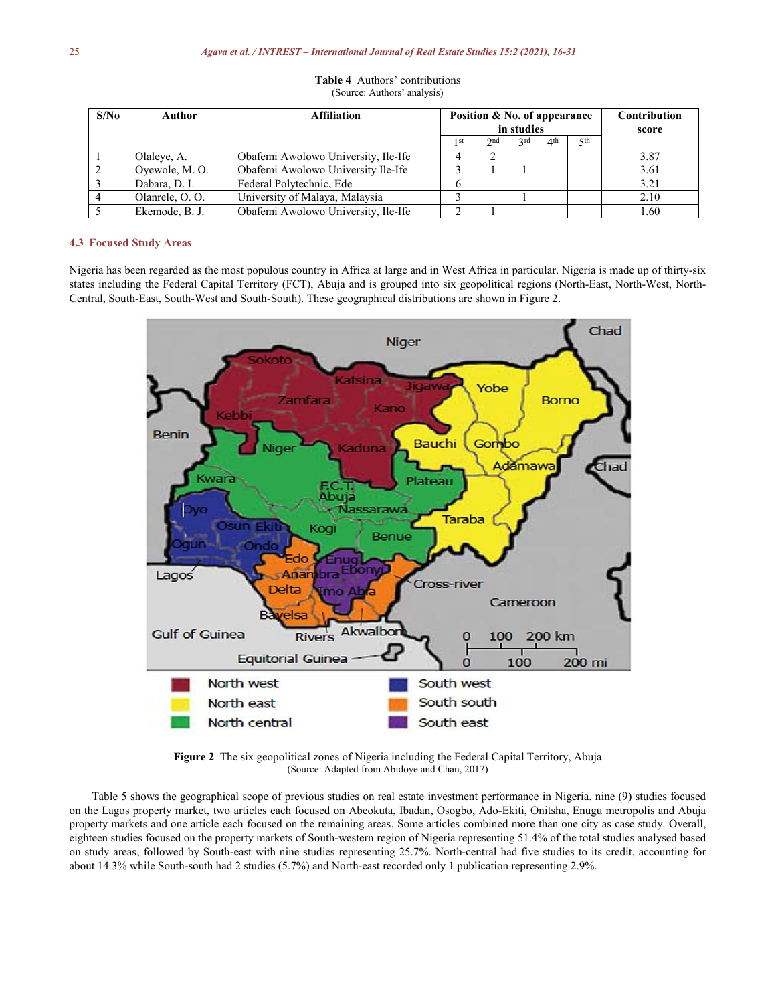| S/No | Author         | <b>Affiliation</b>                  | Position & No. of appearance |     |     |                 | Contribution |       |
|------|----------------|-------------------------------------|------------------------------|-----|-----|-----------------|--------------|-------|
|      |                |                                     | in studies                   |     |     |                 |              | score |
|      |                |                                     | 1 st                         | 2nd | 2rd | 4 <sup>th</sup> | √, ≼th       |       |
|      | Olaleye, A.    | Obafemi Awolowo University, Ile-Ife |                              | ∼   |     |                 |              | 3.87  |
|      | Oyewole, M.O.  | Obafemi Awolowo University Ile-Ife  |                              |     |     |                 |              | 3.61  |
|      | Dabara, D. I.  | Federal Polytechnic, Ede            | $\mathfrak{h}$               |     |     |                 |              | 3.21  |
|      | Olanrele, O.O. | University of Malaya, Malaysia      |                              |     |     |                 |              | 2.10  |
|      | Ekemode, B. J. | Obafemi Awolowo University, Ile-Ife |                              |     |     |                 |              | 1.60  |

|  | <b>Table 4</b> Authors' contributions |  |
|--|---------------------------------------|--|
|  | (Source: Authors' analysis)           |  |

# **4.3 Focused Study Areas**

Nigeria has been regarded as the most populous country in Africa at large and in West Africa in particular. Nigeria is made up of thirty-six states including the Federal Capital Territory (FCT), Abuja and is grouped into six geopolitical regions (North-East, North-West, North- Central, South-East, South-West and South-South). These geographical distributions are shown in Figure 2.



**Figure 2** The six geopolitical zones of Nigeria including the Federal Capital Territory, Abuja (Source: Adapted from Abidoye and Chan, 2017)

Table 5 shows the geographical scope of previous studies on real estate investment performance in Nigeria. nine (9) studies focused on the Lagos property market, two articles each focused on Abeokuta, Ibadan, Osogbo, Ado-Ekiti, Onitsha, Enugu metropolis and Abuja property markets and one article each focused on the remaining areas. Some articles combined more than one city as case study. Overall, eighteen studies focused on the property markets of South-western region of Nigeria representing 51.4% of the total studies analysed based on study areas, followed by South-east with nine studies representing 25.7%. North-central had five studies to its credit, accounting for about 14.3% while South-south had 2 studies (5.7%) and North-east recorded only 1 publication representing 2.9%.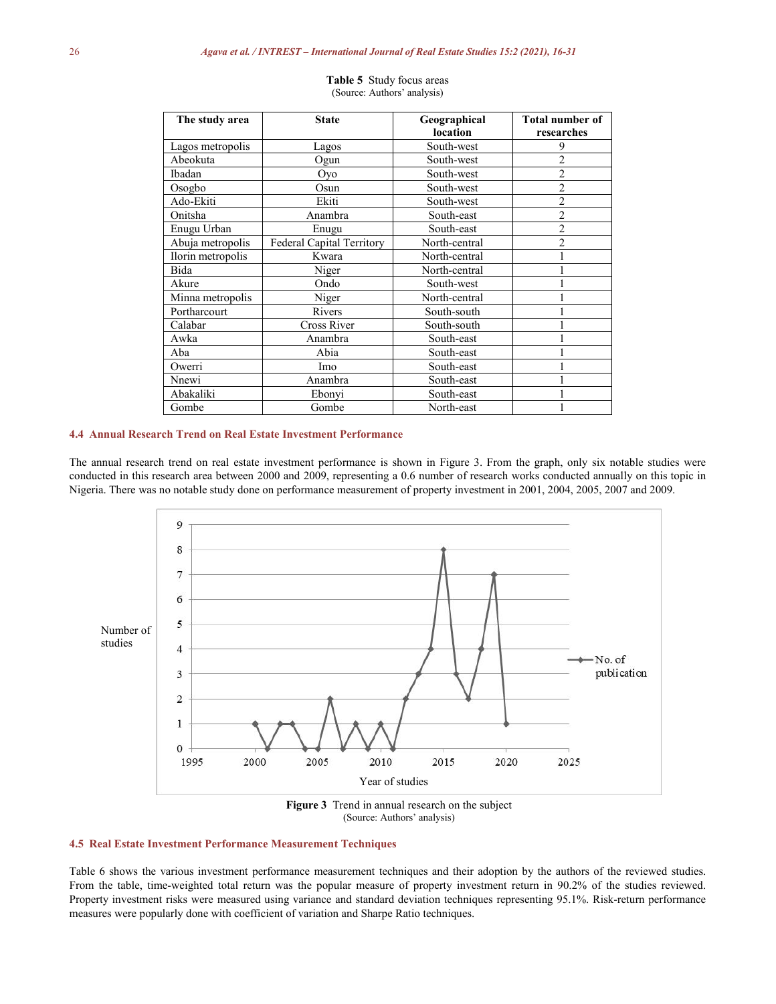| The study area    | Geographical<br><b>State</b>     |               | <b>Total number of</b> |
|-------------------|----------------------------------|---------------|------------------------|
|                   |                                  | location      | researches             |
| Lagos metropolis  | Lagos                            | South-west    | 9                      |
| Abeokuta          | Ogun                             | South-west    | $\overline{c}$         |
| Ibadan            | Oyo                              | South-west    | $\overline{c}$         |
| Osogbo            | Osun                             | South-west    | $\overline{2}$         |
| Ado-Ekiti         | Ekiti                            | South-west    | $\overline{c}$         |
| Onitsha           | Anambra                          | South-east    | $\overline{2}$         |
| Enugu Urban       | Enugu                            | South-east    | $\overline{2}$         |
| Abuja metropolis  | <b>Federal Capital Territory</b> | North-central | $\overline{c}$         |
| Ilorin metropolis | Kwara                            | North-central |                        |
| Bida              | Niger                            | North-central |                        |
| Akure             | Ondo                             | South-west    |                        |
| Minna metropolis  | Niger                            | North-central |                        |
| Portharcourt      | Rivers                           | South-south   |                        |
| Calabar           | Cross River                      | South-south   |                        |
| Awka              | Anambra                          | South-east    |                        |
| Aba               | Abia                             | South-east    |                        |
| Owerri            | Imo                              | South-east    |                        |
| Nnewi             | Anambra                          | South-east    |                        |
| Abakaliki         | Ebonyi                           | South-east    |                        |
| Gombe             | Gombe                            | North-east    |                        |

**Table 5** Study focus areas (Source: Authors' analysis)

#### **4.4 Annual Research Trend on Real Estate Investment Performance**

The annual research trend on real estate investment performance is shown in Figure 3. From the graph, only six notable studies were conducted in this research area between 2000 and 2009, representing a 0.6 number of research works conducted annually on this topic in Nigeria. There was no notable study done on performance measurement of property investment in 2001, 2004, 2005, 2007 and 2009.



(Source: Authors' analysis)

# **4.5 Real Estate Investment Performance Measurement Techniques**

Table 6 shows the various investment performance measurement techniques and their adoption by the authors of the reviewed studies. From the table, time-weighted total return was the popular measure of property investment return in 90.2% of the studies reviewed. Property investment risks were measured using variance and standard deviation techniques representing 95.1%. Risk-return performance measures were popularly done with coefficient of variation and Sharpe Ratio techniques.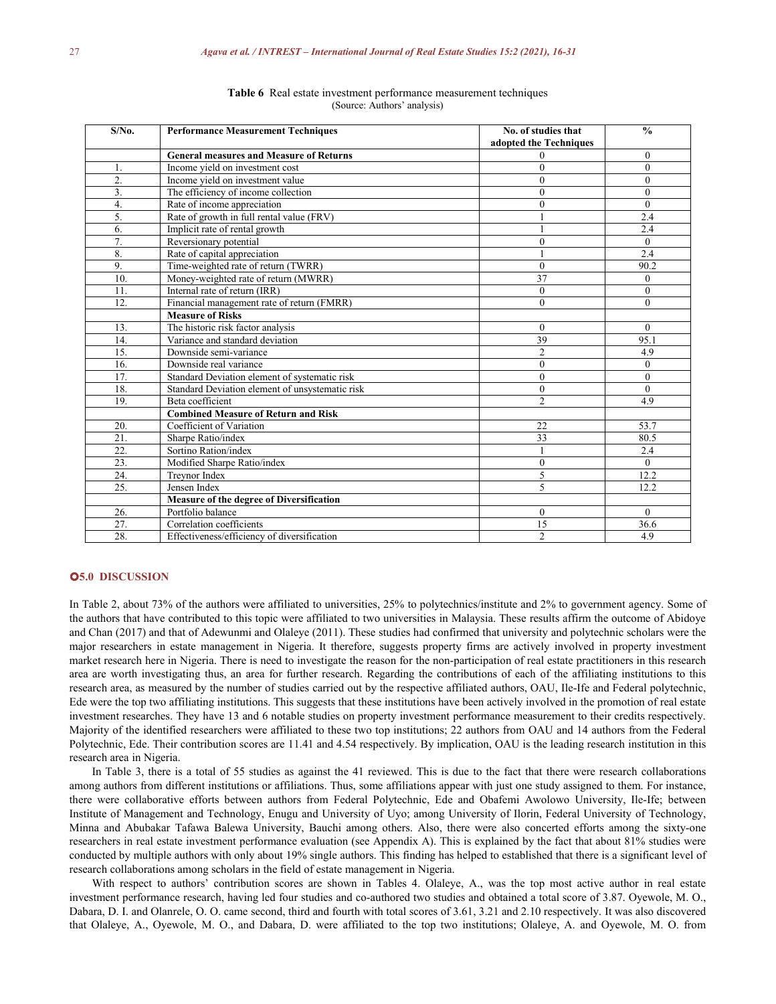| $S/N0$ . | <b>Performance Measurement Techniques</b>       | No. of studies that<br>adopted the Techniques | $\frac{0}{0}$  |
|----------|-------------------------------------------------|-----------------------------------------------|----------------|
|          | <b>General measures and Measure of Returns</b>  | 0                                             | $\overline{0}$ |
| 1.       | Income yield on investment cost                 | $\theta$                                      | $\theta$       |
| 2.       | Income yield on investment value                | 0                                             | $\overline{0}$ |
| 3.       | The efficiency of income collection             | $\theta$                                      | $\theta$       |
| 4.       | Rate of income appreciation                     | $\theta$                                      | $\theta$       |
| 5.       | Rate of growth in full rental value (FRV)       |                                               | 2.4            |
| 6.       | Implicit rate of rental growth                  |                                               | 2.4            |
| 7.       | Reversionary potential                          | $\theta$                                      | $\theta$       |
| 8.       | Rate of capital appreciation                    |                                               | 2.4            |
| 9.       | Time-weighted rate of return (TWRR)             | $\theta$                                      | 90.2           |
| 10.      | Money-weighted rate of return (MWRR)            | 37                                            | $\theta$       |
| 11.      | Internal rate of return (IRR)                   | $\theta$                                      | $\theta$       |
| 12.      | Financial management rate of return (FMRR)      | $\theta$                                      | $\theta$       |
|          | <b>Measure of Risks</b>                         |                                               |                |
| 13.      | The historic risk factor analysis               | $\theta$                                      | $\theta$       |
| 14.      | Variance and standard deviation                 | 39                                            | 95.1           |
| 15.      | Downside semi-variance                          | $\overline{c}$                                | 4.9            |
| 16.      | Downside real variance                          | $\theta$                                      | $\theta$       |
| 17.      | Standard Deviation element of systematic risk   | $\theta$                                      | $\theta$       |
| 18.      | Standard Deviation element of unsystematic risk | $\theta$                                      | $\theta$       |
| 19.      | Beta coefficient                                | $\overline{2}$                                | 4.9            |
|          | <b>Combined Measure of Return and Risk</b>      |                                               |                |
| 20.      | Coefficient of Variation                        | 22                                            | 53.7           |
| 21.      | Sharpe Ratio/index                              | 33                                            | 80.5           |
| 22.      | Sortino Ration/index                            |                                               | 2.4            |
| 23.      | Modified Sharpe Ratio/index                     | $\theta$                                      | $\theta$       |
| 24.      | Treynor Index                                   | 5                                             | 12.2           |
| 25.      | Jensen Index                                    | $\varsigma$                                   | 12.2           |
|          | Measure of the degree of Diversification        |                                               |                |
| 26.      | Portfolio balance                               | $\theta$                                      | $\theta$       |
| 27.      | Correlation coefficients                        | 15                                            | 36.6           |
| 28.      | Effectiveness/efficiency of diversification     | $\overline{2}$                                | 4.9            |

**Table 6** Real estate investment performance measurement techniques (Source: Authors' analysis)

# **5.0 DISCUSSION**

In Table 2, about 73% of the authors were affiliated to universities, 25% to polytechnics/institute and 2% to government agency. Some of the authors that have contributed to this topic were affiliated to two universities in Malaysia. These results affirm the outcome of Abidoye and Chan (2017) and that of Adewunmi and Olaleye (2011). These studies had confirmed that university and polytechnic scholars were the major researchers in estate management in Nigeria. It therefore, suggests property firms are actively involved in property investment market research here in Nigeria. There is need to investigate the reason for the non-participation of real estate practitioners in this research area are worth investigating thus, an area for further research. Regarding the contributions of each of the affiliating institutions to this research area, as measured by the number of studies carried out by the respective affiliated authors, OAU, Ile-Ife and Federal polytechnic, Ede were the top two affiliating institutions. This suggests that these institutions have been actively involved in the promotion of real estate investment researches. They have 13 and 6 notable studies on property investment performance measurement to their credits respectively. Majority of the identified researchers were affiliated to these two top institutions; 22 authors from OAU and 14 authors from the Federal Polytechnic, Ede. Their contribution scores are 11.41 and 4.54 respectively. By implication, OAU is the leading research institution in this research area in Nigeria.

In Table 3, there is a total of 55 studies as against the 41 reviewed. This is due to the fact that there were research collaborations among authors from different institutions oraffiliations. Thus, some affiliations appear with just one study assigned to them. For instance, there were collaborative efforts between authors from Federal Polytechnic, Ede and Obafemi Awolowo University, Ile-Ife; between Institute of Management and Technology, Enugu and University of Uyo; among University of Ilorin, Federal University of Technology, Minna and Abubakar Tafawa Balewa University, Bauchi among others. Also, there were also concerted efforts among the sixty-one researchers in real estate investment performance evaluation (see Appendix A). This is explained by the fact that about 81% studies were conducted by multiple authors with only about 19% single authors. This finding has helped to established that there is a significant level of research collaborations among scholars in the field of estate management in Nigeria.

With respect to authors' contribution scores are shown in Tables 4. Olaleye, A., was the top most active author in real estate investment performance research, having led four studies and co-authored two studies and obtained a total score of 3.87. Oyewole, M. O., Dabara, D. I. and Olanrele, O. O. came second, third and fourth with total scores of 3.61, 3.21 and 2.10 respectively. It was also discovered that Olaleye, A., Oyewole, M. O., and Dabara, D. were affiliated to the top two institutions; Olaleye, A. and Oyewole, M. O. from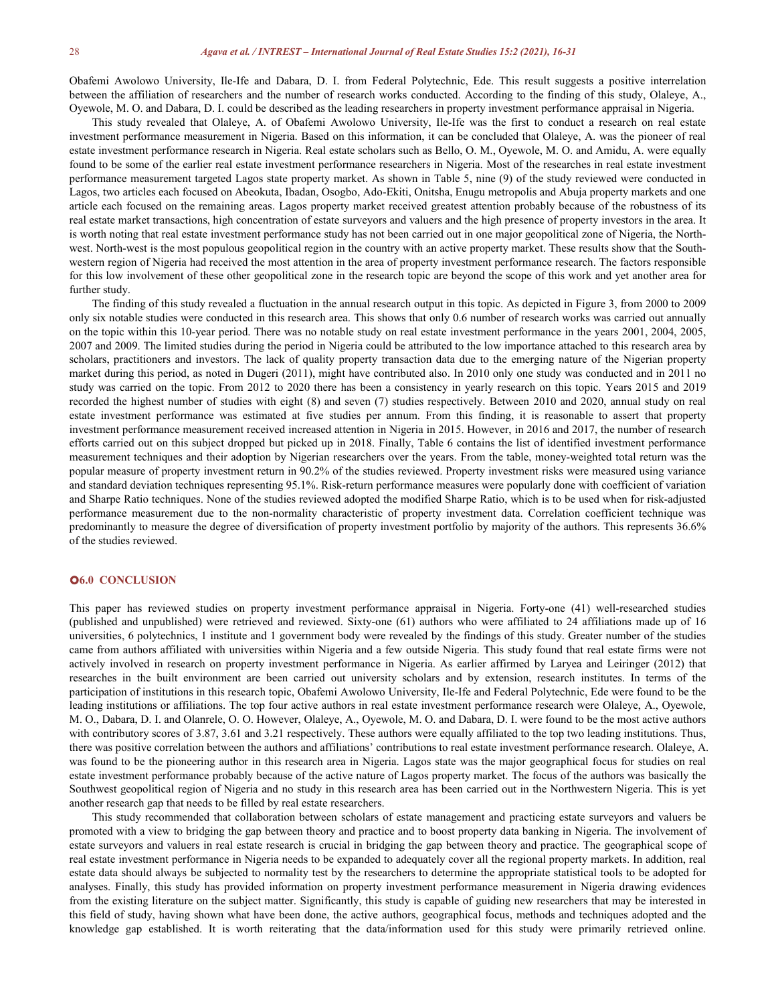Obafemi Awolowo University, Ile-Ife and Dabara, D. I. from Federal Polytechnic, Ede. This result suggests a positive interrelation between the affiliation of researchers and the number of research works conducted. According to the finding of this study, Olaleye, A., Oyewole, M. O. and Dabara, D. I. could be described as the leading researchers in property investment performance appraisal in Nigeria.

This study revealed that Olaleye, A. of Obafemi Awolowo University, Ile-Ife was the first to conduct a research on real estate investment performance measurement in Nigeria. Based on this information, it can be concluded that Olaleye, A. was the pioneer of real estate investment performance research in Nigeria. Real estate scholars such as Bello, O. M., Oyewole, M. O. and Amidu, A. were equally found to be some of the earlier real estate investment performance researchers in Nigeria. Most of the researches in real estate investment performance measurement targeted Lagos state property market. As shown in Table 5, nine (9) of the study reviewed were conducted in Lagos, two articles each focused on Abeokuta, Ibadan, Osogbo, Ado-Ekiti, Onitsha, Enugu metropolis and Abuja property markets and one article each focused on the remaining areas. Lagos property market received greatest attention probably because of the robustness of its real estate market transactions, high concentration of estate surveyors and valuers and the high presence of property investors in the area. It is worth noting that real estate investment performance study has not been carried out in one major geopolitical zone of Nigeria, the North west. North-west is the most populous geopolitical region in the country with an active property market. These results show that the South western region of Nigeria had received the most attention in the area of property investment performance research. The factors responsible for this low involvement of these other geopolitical zone in the research topic are beyond the scope of this work and yet another area for further study.

The finding of this study revealed a fluctuation in the annual research output in this topic. As depicted in Figure 3, from 2000 to 2009 only six notable studies were conducted in this research area. This shows that only 0.6 number of research works was carried out annually on the topic within this 10-year period. There was no notable study on real estate investment performance in the years 2001, 2004, 2005, 2007 and 2009. The limited studies during the period in Nigeria could be attributed to the low importance attached to this research area by scholars, practitioners and investors. The lack of quality property transaction data due to the emerging nature of the Nigerian property market during this period, as noted in Dugeri (2011), might have contributed also. In 2010 only one study was conducted and in 2011 no study was carried on the topic. From 2012 to 2020 there has been a consistency in yearly research on this topic. Years 2015 and 2019 recorded the highest number of studies with eight (8) and seven (7) studies respectively. Between 2010 and 2020, annual study on real estate investment performance was estimated at five studies per annum. From this finding, it is reasonable to assert that property investment performance measurement received increased attention in Nigeria in 2015. However, in 2016 and 2017, the number of research efforts carried out on this subject dropped but picked up in 2018. Finally, Table 6 contains the list of identified investment performance measurement techniques and their adoption by Nigerian researchers over the years. From the table, money-weighted total return was the popular measure of property investment return in 90.2% of the studies reviewed. Property investment risks were measured using variance and standard deviation techniques representing 95.1%. Risk-return performance measures were popularly done with coefficient of variation and Sharpe Ratio techniques. None of the studies reviewed adopted the modified Sharpe Ratio, which is to be used when for risk-adjusted performance measurement due to the non-normality characteristic of property investment data. Correlation coefficient technique was predominantly to measure the degree of diversification of property investment portfolio by majority of the authors. This represents 36.6% of the studies reviewed.

# **6.0 CONCLUSION**

This paper has reviewed studies on property investment performance appraisal in Nigeria. Forty-one (41) well-researched studies (published and unpublished) were retrieved and reviewed. Sixty-one (61) authors who were affiliated to 24 affiliations made up of 16 universities, 6 polytechnics, 1 institute and 1 government body were revealed by the findings of this study.Greater number of the studies came from authors affiliated with universities within Nigeria and a few outside Nigeria. This study found that real estate firms were not actively involved in research on property investment performance in Nigeria. As earlier affirmed by Laryea and Leiringer (2012) that researches in the built environment are been carried out university scholars and by extension, research institutes. In terms of the participation of institutions in this research topic, Obafemi Awolowo University, Ile-Ife and Federal Polytechnic, Ede were found to be the leading institutions or affiliations. The top four active authors in real estate investment performance research were Olaleye, A., Oyewole, M. O., Dabara, D. I. and Olanrele, O. O. However, Olaleye, A., Oyewole, M. O. and Dabara, D. I. were found to be the most active authors with contributory scores of 3.87, 3.61 and 3.21 respectively. These authors were equally affiliated to the top two leading institutions. Thus, there was positive correlation between the authors and affiliations' contributions to real estate investment performance research. Olaleye, A. was found to be the pioneering author in this research area in Nigeria. Lagos state was the major geographical focus for studies on real estate investment performance probably because of the active nature of Lagos property market. The focus of the authors was basically the Southwest geopolitical region of Nigeria and no study in this research area has been carried out in the Northwestern Nigeria. This is yet another research gap that needs to be filled by real estate researchers.

This study recommended that collaboration between scholars of estate management and practicing estate surveyors and valuers be promoted with a view to bridging the gap between theory and practice and to boost property data banking in Nigeria. The involvement of estate surveyors and valuers in real estate research is crucial in bridging the gap between theory and practice. The geographical scope of real estate investment performance in Nigeria needs to be expanded to adequately cover all the regional property markets. In addition, real estate data should always be subjected to normality test by the researchers to determine the appropriate statistical tools to be adopted for analyses. Finally, this study has provided information on property investment performance measurement in Nigeria drawing evidences from the existing literature on the subject matter. Significantly, this study is capable of guiding new researchers that may be interested in this field of study, having shown what have been done, the active authors, geographical focus, methods and techniques adopted and the knowledge gap established. It is worth reiterating that the data/information used for this study were primarily retrieved online.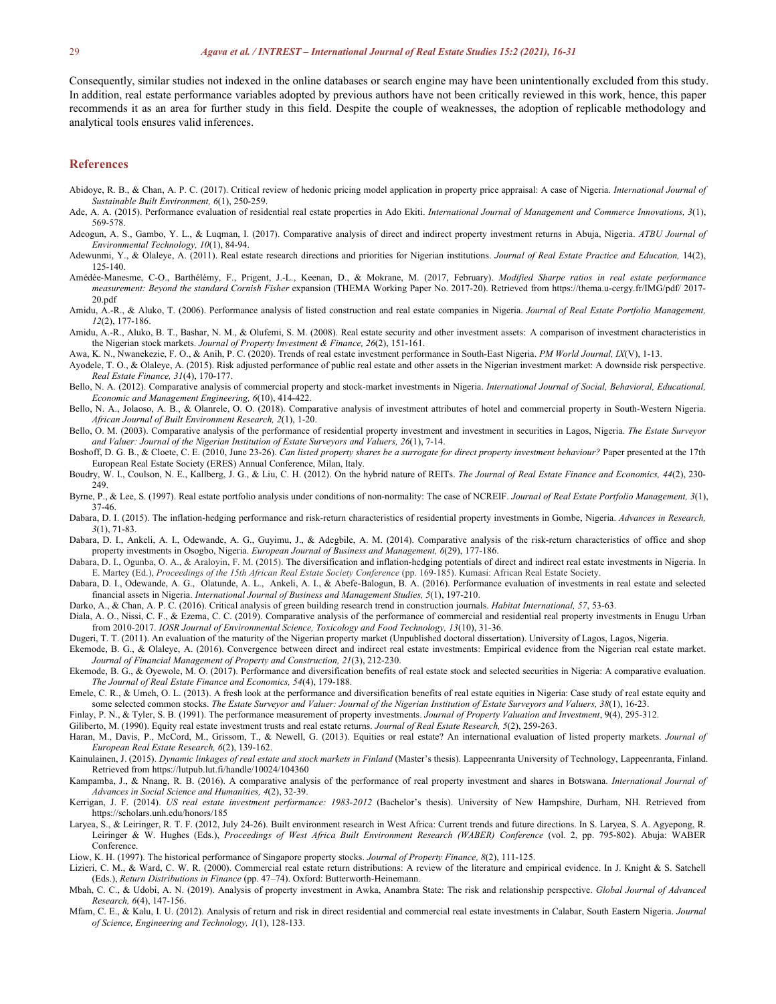Consequently, similar studies not indexed in the online databases or search engine may have been unintentionally excluded from this study.<br>In addition, real estate performance variables adopted by previous authors have not recommends it as an area for further study in this field. Despite the couple of weaknesses, the adoption of replicable methodology and analytical tools ensures valid inferences.

#### **References**

- Abidoye, R. B., & Chan, A. P. C. (2017). Critical review of hedonic pricing model application in property price appraisal: A case of Nigeria. *International Journal of Sustainable Built Environment, 6*(1), 250-259.
- Ade, A. A. (2015). Performance evaluation of residential real estate properties in Ado Ekiti. *International Journal of Management and Commerce Innovations, 3*(1), 569-578.
- Adeogun, A. S., Gambo, Y. L., & Luqman, I. (2017). Comparative analysis of direct and indirect property investment returns in Abuja, Nigeria. *ATBU Journal of Environmental Technology, 10*(1), 84-94.
- Adewunmi, Y., & Olaleye, A. (2011). Real estate research directions and priorities for Nigerian institutions. *Journal of Real Estate Practice and Education,*14(2), 125-140.
- Amédée-Manesme, C-O., Barthélémy, F., Prigent, J.-L., Keenan, D., & Mokrane, M. (2017, February). *Modified Sharpe ratios in real estate performance measurement: Beyond the standard Cornish Fisher* expansion (THEMA Working Paper No. 2017-20). Retrieved from https://thema.u-cergy.fr/IMG/pdf/ 2017- 20.pdf
- Amidu, A.-R., & Aluko, T. (2006). Performance analysis of listed construction and real estate companies in Nigeria. *Journal of Real Estate Portfolio Management, 12*(2), 177-186.
- Amidu, A.-R., Aluko, B. T., Bashar, N. M., & Olufemi, S. M. (2008). Real estate security and other investment assets: A comparison of investment characteristics in the Nigerian stock markets. *Journal of Property Investment & Finance, 26*(2), 151-161.
- Awa, K. N., Nwanekezie, F. O., & Anih, P. C. (2020). Trends ofreal estate investment performance in South-East Nigeria. *PM World Journal, IX*(V), 1-13.
- Ayodele, T. O., & Olaleye, A. (2015). Risk adjusted performance of public real estate and other assets in the Nigerian investment market: A downside risk perspective. *Real Estate Finance, 31*(4), 170-177.
- Bello, N. A. (2012). Comparative analysis of commercial property and stock-market investments in Nigeria. *International Journal of Social, Behavioral, Educational, Economic and Management Engineering, 6*(10), 414-422.
- Bello, N. A., Jolaoso, A. B., & Olanrele, O. O. (2018).Comparative analysis of investment attributes of hotel and commercial property in South-Western Nigeria. *African Journal of Built Environment Research, 2*(1), 1-20.
- Bello, O. M. (2003). Comparative analysis ofthe performance of residential property investment and investment in securities in Lagos, Nigeria. *The Estate Surveyor and Valuer: Journal of the Nigerian Institution of Estate Surveyors and Valuers, 26*(1), 7-14.
- Boshoff, D. G. B., & Cloete, C. E. (2010, June 23-26). Can listed property shares be a surrogate for direct property investment behaviour? Paper presented at the 17th European Real Estate Society (ERES) Annual Conference, Milan, Italy.
- Boudry, W. I., Coulson, N. E., Kallberg, J. G., & Liu, C. H. (2012). On the hybrid nature of REITs. *The Journal of Real Estate Finance and Economics, 44*(2), 230- 249.
- Byrne, P., & Lee, S. (1997). Real estate portfolio analysis under conditions ofnon-normality: The case of NCREIF. *Journal of Real Estate Portfolio Management, 3*(1), 37-46.
- Dabara, D. I. (2015). The inflation-hedging performance and risk-return characteristics of residential property investments in Gombe, Nigeria. *Advances in Research, 3*(1), 71-83.
- Dabara, D. I., Ankeli, A. I., Odewande, A. G., Guyimu, J., & Adegbile, A. M. (2014). Comparative analysis of the risk-return characteristics of office and shop property investments in Osogbo, Nigeria. *European Journal of Business and Management, 6*(29), 177-186.
- Dabara, D. I., Ogunba, O. A., & Araloyin, F. M. (2015). The diversification and inflation-hedging potentials of direct and indirect real estate investments in Nigeria. In E. Martey (Ed.), *Proceedings of the 15th African Real Estate Society Conference* (pp. 169-185). Kumasi: African Real Estate Society.
- Dabara, D. I., Odewande, A. G., Olatunde, A. L., Ankeli, A. I., & Abefe-Balogun, B. A. (2016). Performance evaluation of investments in real estate and selected financial assets in Nigeria. *International Journal of Business and Management Studies, 5*(1), 197-210.
- Darko, A., & Chan, A. P. C. (2016). Critical analysis ofgreen building research trend in construction journals. *Habitat International, 57*, 53-63.
- Diala, A. O., Nissi, C. F., & Ezema, C. C. (2019). Comparative analysis of the performance of commercial and residential real property investments in Enugu Urban from 2010-2017. *IOSR Journal of Environmental Science, Toxicology and Food Technology, 13*(10), 31-36.
- Dugeri, T. T. (2011). An evaluation of the maturity of the Nigerian property market (Unpublished doctoral dissertation). University of Lagos, Lagos, Nigeria.
- Ekemode, B. G., & Olaleye, A. (2016). Convergence between direct and indirect real estate investments: Empirical evidence from the Nigerian real estate market. *Journal of Financial Management of Property and Construction, 21*(3), 212-230.
- Ekemode, B. G., & Oyewole, M. O. (2017). Performance and diversification benefits of real estate stock and selected securities in Nigeria: A comparative evaluation. *The Journal of Real Estate Finance and Economics, 54*(4), 179-188.
- Emele, C. R., & Umeh, O. L. (2013). A fresh look at the performance and diversification benefits of real estate equities in Nigeria: Case study of real estate equity and some selected common stocks. The Estate Surveyor and Valuer: Journal of the Nigerian Institution of Estate Surveyors and Valuers, 38(1), 16-23.
- Finlay, P. N., & Tyler, S. B. (1991). The performance measurement of property investments. *Journal of Property Valuation and Investment*, 9(4), 295-312.
- Giliberto, M. (1990). Equity real estate investment trusts and real estate returns. *Journal of Real Estate Research, 5*(2), 259-263.
- Haran, M., Davis, P., McCord, M., Grissom, T., & Newell, G. (2013). Equities or real estate? An international evaluation of listed property markets. *Journal of European Real Estate Research, 6*(2), 139-162.
- Kainulainen, J. (2015). Dynamic linkages of real estate and stock markets in Finland (Master's thesis). Lappeenranta University of Technology, Lappeenranta, Finland. Retrieved from https://lutpub.lut.fi/handle/10024/104360
- Kampamba, J., & Nnang, R. B. (2016). A comparativeanalysis of the performance of real property investment and shares in Botswana. *International Journal of Advances in Social Science and Humanities, 4*(2), 32-39.
- Kerrigan, J. F. (2014). *US real estate investment performance: 1983-2012* (Bachelor's thesis). University of New Hampshire, Durham, NH*.* Retrieved from https://scholars.unh.edu/honors/185
- Laryea, S., & Leiringer, R. T. F. (2012, July 24-26). Built environment research in West Africa: Current trends and future directions. In S. Laryea, S. A. Agyepong, R. Leiringer & W. Hughes (Eds.), *Proceedings of West Africa Built Environment Research (WABER) Conference* (vol. 2, pp. 795-802). Abuja: WABER Conference.
- Liow, K. H. (1997). The historical performance of Singapore property stocks. *Journal of Property Finance, 8*(2), 111-125.
- Lizieri, C. M., & Ward, C. W. R. (2000). Commercial real estate return distributions: A review of the literature and empirical evidence. In J. Knight & S. Satchell (Eds.), *Return Distributions in Finance* (pp. 47–74). Oxford: Butterworth-Heinemann.
- Mbah, C. C., & Udobi, A. N. (2019). Analysis of property investment in Awka, Anambra State: The risk and relationship perspective. *Global Journal of Advanced Research, 6*(4), 147-156.
- Mfam, C. E., & Kalu, I. U. (2012). Analysis of return and risk in direct residential and commercial real estate investments in Calabar, South Eastern Nigeria. *Journal of Science, Engineering and Technology, 1*(1), 128-133.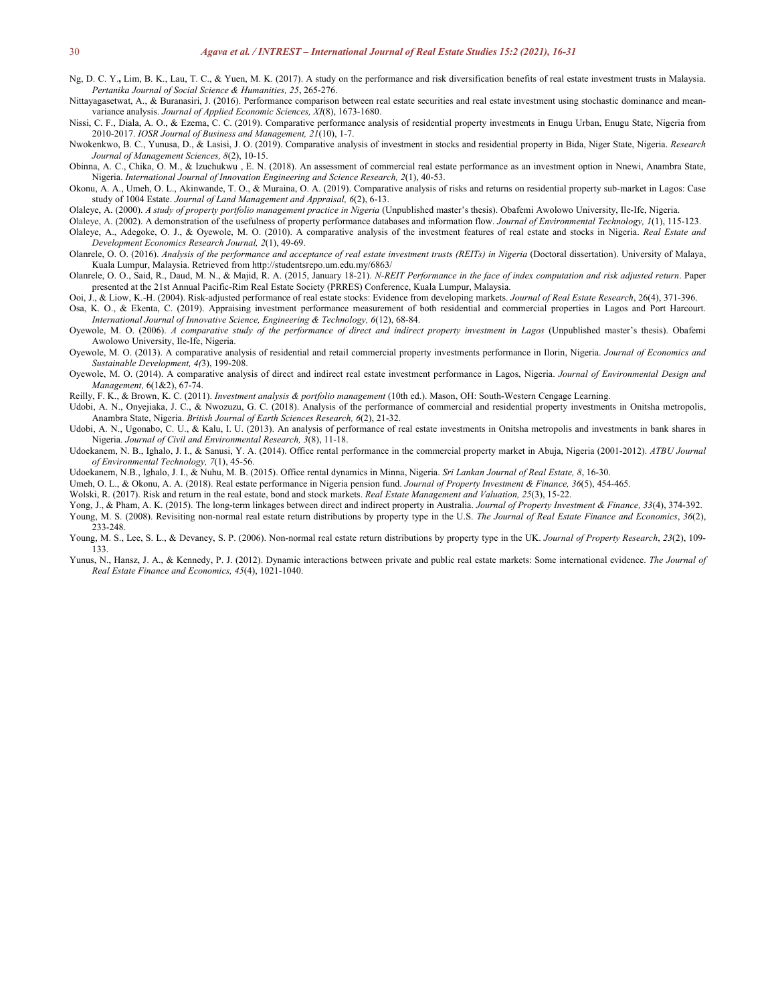- Ng, D. C. Y., Lim, B. K., Lau, T. C., & Yuen, M. K. (2017). A study on the performance and risk diversification benefits of real estate investment trusts in Malaysia. *Pertanika Journal of Social Science & Humanities, 25*, 265-276.
- Nittayagasetwat, A., & Buranasiri, J. (2016). Performance comparison between real estate securities and real estate investment using stochastic dominance and meanvariance analysis.*Journal of Applied Economic Sciences, XI*(8), 1673-1680.
- Nissi, C. F., Diala, A. O., & Ezema, C. C. (2019). Comparative performance analysis ofresidential property investments in Enugu Urban, Enugu State, Nigeria from 2010-2017. *IOSR Journal of Business and Management, 21*(10), 1-7.
- Nwokenkwo, B. C., Yunusa, D., & Lasisi, J. O. (2019). Comparative analysis of investment in stocks and residential property in Bida, Niger State, Nigeria. *Research Journal of Management Sciences, 8*(2), 10-15.
- Obinna, A. C., Chika, O. M., & Izuchukwu , E. N. (2018). An assessment of commercial real estate performance as an investment option in Nnewi, Anambra State, Nigeria. *International Journal of Innovation Engineering and Science Research, 2*(1), 40-53.
- Okonu, A. A., Umeh, O. L., Akinwande, T. O., & Muraina, O. A. (2019). Comparative analysis of risks and returns on residential property sub-market in Lagos: Case study of 1004 Estate. *Journal of Land Management and Appraisal, 6*(2), 6-13.
- Olaleye, A. (2000). *A study of property portfolio management practice in Nigeria* (Unpublished master's thesis). Obafemi Awolowo University,Ile-Ife, Nigeria.
- Olaleye, A. (2002). A demonstration of the usefulness ofproperty performance databases and information flow. *Journal of Environmental Technology, 1*(1), 115-123. Olaleye, A., Adegoke, O. J., & Oyewole, M. O. (2010). A comparative analysis of the investment features of real estate and stocks in Nigeria. *Real Estate and*
- *Development Economics Research Journal, 2*(1), 49-69.
- Olanrele, O. O. (2016). Analysis of the performance and acceptance of real estate investment trusts (REITs) in Nigeria (Doctoral dissertation). University of Malaya,<br>Kuala Lumpur. Malaysia. Retrieved from http://studentsre
- Olanrele, O. O., Said, R., Daud, M. N., & Majid, R. A. (2015, January 18-21). N-REIT Performance in the face of index computation and risk adjusted return. Paper presented at the 21st Annual Pacific-Rim Real Estate Society (PRRES) Conference, Kuala Lumpur, Malaysia.
- Ooi, J., & Liow, K.-H. (2004). Risk-adjusted performance of real estate stocks: Evidence from developing markets. *Journal of Real Estate Research*, 26(4), 371-396.
- Osa, K. O., & Ekenta, C. (2019). Appraising investment performance measurement of both residential and commercial properties in Lagos and Port Harcourt. *International Journal of Innovative Science,Engineering & Technology, 6*(12), 68-84.
- Oyewole, M. O. (2006). A comparative study of the performance of direct and indirect property investment in Lagos (Unpublished master's thesis). Obafemi Awolowo University, Ile-Ife, Nigeria.
- Oyewole, M. O. (2013). A comparativeanalysis of residential and retail commercial property investments performance in Ilorin, Nigeria. *Journal of Economics and Sustainable Development, 4(*3), 199-208.
- Oyewole, M. O. (2014). A comparativeanalysis of direct and indirect real estate investment performance in Lagos, Nigeria. *Journal of Environmental Design and Management,* 6(1&2), 67-74.
- Reilly, F. K., & Brown, K. C. (2011). *Investment analysis & portfolio management* (10th ed.). Mason, OH: South-Western Cengage Learning.
- Udobi, A. N., Onyejiaka, J. C., & Nwozuzu, G. C. (2018). Analysis of the performance of commercial and residential property investments in Onitsha metropolis, Anambra State, Nigeria. *British Journal of Earth Sciences Research, 6*(2), 21-32.
- Udobi, A. N., Ugonabo, C. U., & Kalu, I. U. (2013). An analysis of performance of real estate investments in Onitsha metropolis and investments in bank shares in Nigeria. *Journal of Civil and Environmental Research, 3*(8), 11-18.
- Udoekanem, N. B., Ighalo, J. I., & Sanusi, Y. A. (2014). Office rental performance in the commercial property market in Abuja, Nigeria (2001-2012). *ATBU Journal of Environmental Technology, 7*(1), 45-56.
- Udoekanem, N.B., Ighalo, J. I., & Nuhu, M. B. (2015). Office rental dynamics in Minna, Nigeria. *Sri Lankan Journal of Real Estate, 8*, 16-30.
- Umeh, O. L., & Okonu, A. A. (2018). Real estate performance in Nigeria pension fund. *Journal of Property Investment & Finance, 36*(5), 454-465.
- Wolski, R. (2017). Risk and return in the realestate, bond and stock markets. *Real Estate Management and Valuation, 25*(3), 15-22.
- Yong, J., & Pham, A. K. (2015). The long-term linkages between direct and indirect property in Australia. *Journal of Property Investment & Finance, 33*(4), 374-392.
- Young, M. S. (2008). Revisiting non-normal real estate return distributions by property type in the U.S. *The Journal of Real Estate Finance and Economics*, *36*(2), 233-248.
- Young, M. S., Lee, S. L., & Devaney, S. P. (2006). Non-normal real estate return distributions by property type in the UK. *Journal of Property Research*, *23*(2), 109- 133.
- Yunus, N., Hansz, J. A., & Kennedy, P. J. (2012). Dynamic interactions between private and public real estate markets: Some international evidence. *The Journal of Real Estate Finance and Economics, 45*(4), 1021-1040.